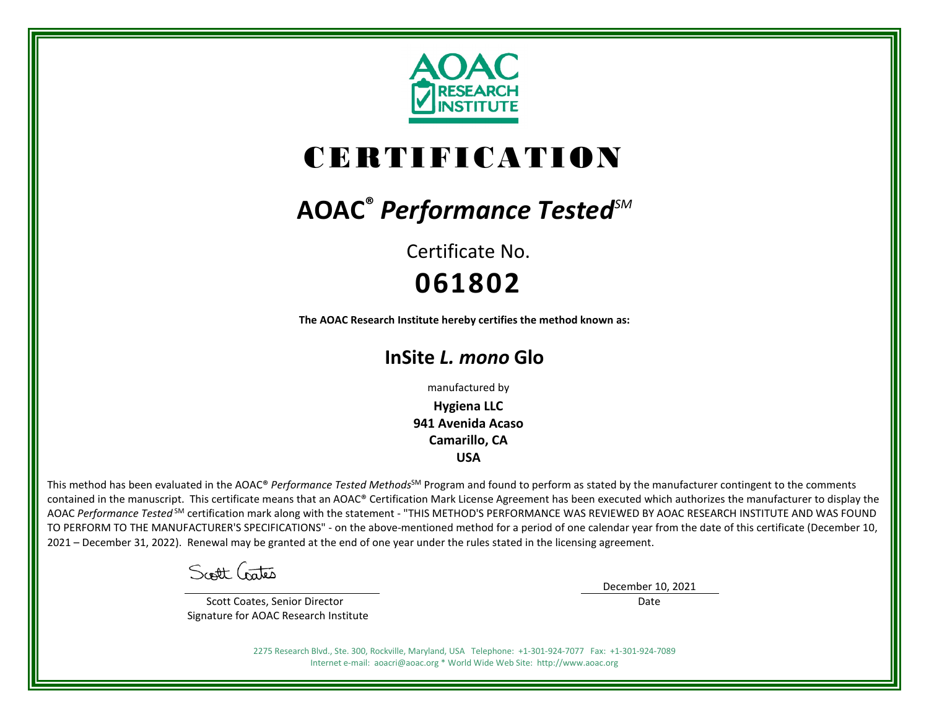

# CERTIFICATION

# **AOAC®** *Performance TestedSM*

Certificate No. **061802**

**The AOAC Research Institute hereby certifies the method known as:**

# **InSite** *L. mono* **Glo**

manufactured by

**Hygiena LLC 941 Avenida Acaso Camarillo, CA USA**

This method has been evaluated in the AOAC® Performance Tested Methods<sup>SM</sup> Program and found to perform as stated by the manufacturer contingent to the comments contained in the manuscript. This certificate means that an AOAC® Certification Mark License Agreement has been executed which authorizes the manufacturer to display the AOAC *Performance Tested* SM certification mark along with the statement - "THIS METHOD'S PERFORMANCE WAS REVIEWED BY AOAC RESEARCH INSTITUTE AND WAS FOUND TO PERFORM TO THE MANUFACTURER'S SPECIFICATIONS" - on the above-mentioned method for a period of one calendar year from the date of this certificate (December 10, 2021 – December 31, 2022). Renewal may be granted at the end of one year under the rules stated in the licensing agreement.

Scott Crates

 Scott Coates, Senior Director Signature for AOAC Research Institute December 10, 2021

Date

2275 Research Blvd., Ste. 300, Rockville, Maryland, USA Telephone: +1-301-924-7077 Fax: +1-301-924-7089 Internet e-mail: aoacri@aoac.org \* World Wide Web Site: http://www.aoac.org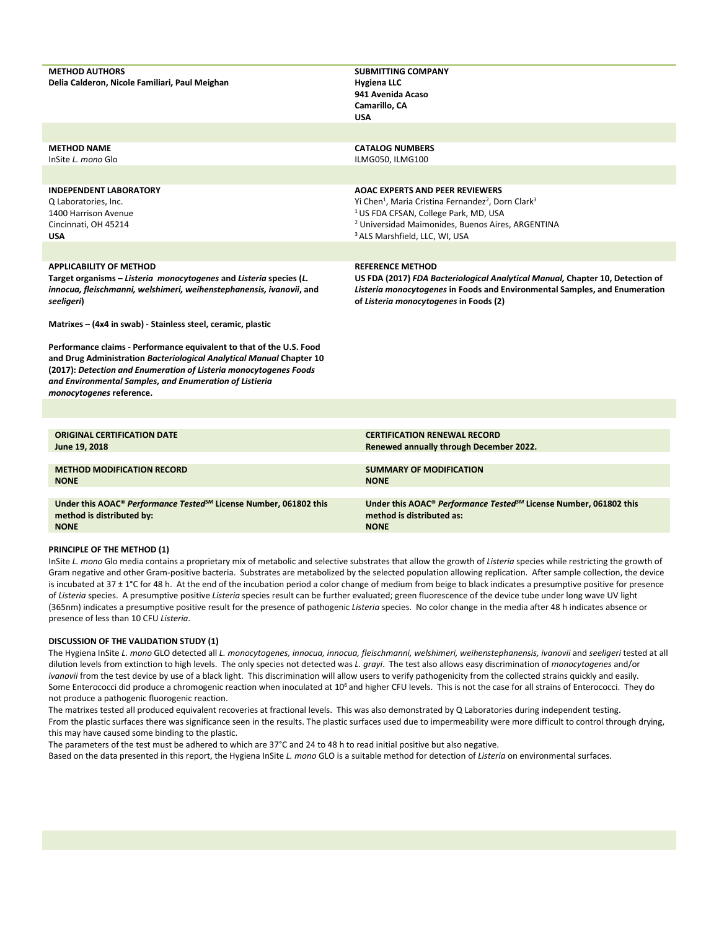| <b>METHOD AUTHORS</b><br>Delia Calderon, Nicole Familiari, Paul Meighan                                                                                                                                                                                                                                  | <b>SUBMITTING COMPANY</b><br><b>Hygiena LLC</b><br>941 Avenida Acaso<br>Camarillo, CA<br><b>USA</b>                                                                                                                                                                                               |
|----------------------------------------------------------------------------------------------------------------------------------------------------------------------------------------------------------------------------------------------------------------------------------------------------------|---------------------------------------------------------------------------------------------------------------------------------------------------------------------------------------------------------------------------------------------------------------------------------------------------|
|                                                                                                                                                                                                                                                                                                          |                                                                                                                                                                                                                                                                                                   |
| <b>METHOD NAME</b><br>InSite L. mono Glo                                                                                                                                                                                                                                                                 | <b>CATALOG NUMBERS</b><br>ILMG050, ILMG100                                                                                                                                                                                                                                                        |
| <b>INDEPENDENT LABORATORY</b><br>Q Laboratories, Inc.<br>1400 Harrison Avenue<br>Cincinnati, OH 45214<br><b>USA</b>                                                                                                                                                                                      | <b>AOAC EXPERTS AND PEER REVIEWERS</b><br>Yi Chen <sup>1</sup> , Maria Cristina Fernandez <sup>2</sup> , Dorn Clark <sup>3</sup><br><sup>1</sup> US FDA CFSAN, College Park, MD, USA<br><sup>2</sup> Universidad Maimonides, Buenos Aires, ARGENTINA<br><sup>3</sup> ALS Marshfield, LLC, WI, USA |
|                                                                                                                                                                                                                                                                                                          |                                                                                                                                                                                                                                                                                                   |
| <b>APPLICABILITY OF METHOD</b><br>Target organisms - Listeria monocytogenes and Listeria species (L.<br>innocua, fleischmanni, welshimeri, weihenstephanensis, ivanovii, and<br>seeligeri)                                                                                                               | <b>REFERENCE METHOD</b><br>US FDA (2017) FDA Bacteriological Analytical Manual, Chapter 10, Detection of<br>Listeria monocytogenes in Foods and Environmental Samples, and Enumeration<br>of Listeria monocytogenes in Foods (2)                                                                  |
| Matrixes - (4x4 in swab) - Stainless steel, ceramic, plastic                                                                                                                                                                                                                                             |                                                                                                                                                                                                                                                                                                   |
| Performance claims - Performance equivalent to that of the U.S. Food<br>and Drug Administration Bacteriological Analytical Manual Chapter 10<br>(2017): Detection and Enumeration of Listeria monocytogenes Foods<br>and Environmental Samples, and Enumeration of Listieria<br>monocytogenes reference. |                                                                                                                                                                                                                                                                                                   |
|                                                                                                                                                                                                                                                                                                          |                                                                                                                                                                                                                                                                                                   |
| <b>ORIGINAL CERTIFICATION DATE</b><br>June 19, 2018                                                                                                                                                                                                                                                      | <b>CERTIFICATION RENEWAL RECORD</b><br>Renewed annually through December 2022.                                                                                                                                                                                                                    |
| <b>METHOD MODIFICATION RECORD</b><br><b>NONE</b>                                                                                                                                                                                                                                                         | <b>SUMMARY OF MODIFICATION</b><br><b>NONE</b>                                                                                                                                                                                                                                                     |
| Under this AOAC <sup>®</sup> Performance Tested <sup>5M</sup> License Number, 061802 this<br>method is distributed by:<br><b>NONE</b>                                                                                                                                                                    | Under this AOAC <sup>®</sup> Performance Tested <sup>SM</sup> License Number, 061802 this<br>method is distributed as:<br><b>NONE</b>                                                                                                                                                             |

#### **PRINCIPLE OF THE METHOD (1)**

InSite *L. mono* Glo media contains a proprietary mix of metabolic and selective substrates that allow the growth of *Listeria* species while restricting the growth of Gram negative and other Gram-positive bacteria. Substrates are metabolized by the selected population allowing replication. After sample collection, the device is incubated at 37 ± 1°C for 48 h. At the end of the incubation period a color change of medium from beige to black indicates a presumptive positive for presence of *Listeria* species. A presumptive positive *Listeria* species result can be further evaluated; green fluorescence of the device tube under long wave UV light (365nm) indicates a presumptive positive result for the presence of pathogenic *Listeria* species. No color change in the media after 48 h indicates absence or presence of less than 10 CFU *Listeria*.

#### **DISCUSSION OF THE VALIDATION STUDY (1)**

The Hygiena InSite *L. mono* GLO detected all *L. monocytogenes, innocua, innocua, fleischmanni, welshimeri, weihenstephanensis, ivanovii* and *seeligeri* tested at all dilution levels from extinction to high levels. The only species not detected was *L. grayi*. The test also allows easy discrimination of *monocytogenes* and/or *ivanovii* from the test device by use of a black light. This discrimination will allow users to verify pathogenicity from the collected strains quickly and easily. Some Enterococci did produce a chromogenic reaction when inoculated at 10<sup>6</sup> and higher CFU levels. This is not the case for all strains of Enterococci. They do not produce a pathogenic fluorogenic reaction.

The matrixes tested all produced equivalent recoveries at fractional levels. This was also demonstrated by Q Laboratories during independent testing. From the plastic surfaces there was significance seen in the results. The plastic surfaces used due to impermeability were more difficult to control through drying, this may have caused some binding to the plastic.

The parameters of the test must be adhered to which are 37°C and 24 to 48 h to read initial positive but also negative.

Based on the data presented in this report, the Hygiena InSite *L. mono* GLO is a suitable method for detection of *Listeria* on environmental surfaces.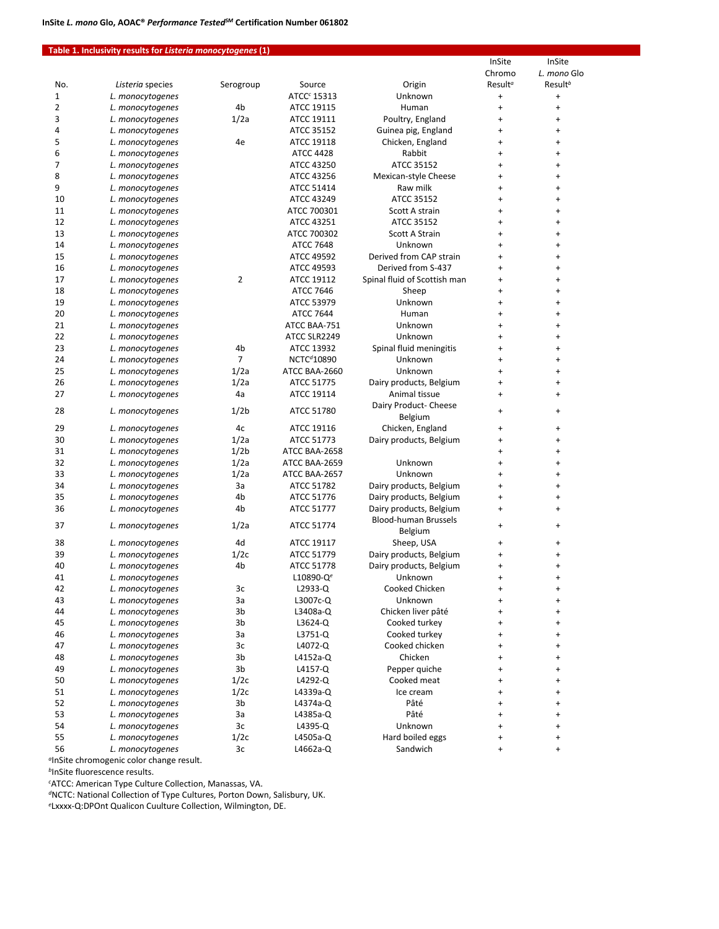## **Table 1. Inclusivity results for** *Listeria monocytogenes* **(1)**

| Chromo<br>L. mono Glo<br>Result <sup>b</sup><br>Result <sup>a</sup><br>Source<br>Origin<br>No.<br>Listeria species<br>Serogroup<br>ATCC <sup>c</sup> 15313<br>Unknown<br>1<br>$\begin{array}{c} + \end{array}$<br>L. monocytogenes<br>$\ddot{}$<br>2<br>4b<br>ATCC 19115<br>Human<br>L. monocytogenes<br>$\ddot{}$<br>$\ddot{}$<br>3<br>1/2a<br>ATCC 19111<br>Poultry, England<br>$\ddot{}$<br>$\ddot{}$<br>L. monocytogenes<br>4<br>ATCC 35152<br>Guinea pig, England<br>L. monocytogenes<br>$\ddot{}$<br>$\ddot{}$<br>5<br>4e<br>ATCC 19118<br>Chicken, England<br>$\ddot{}$<br>L. monocytogenes<br>$\ddot{}$<br>6<br>Rabbit<br><b>ATCC 4428</b><br>L. monocytogenes<br>$\ddot{}$<br>$\ddot{}$<br>7<br>ATCC 35152<br>ATCC 43250<br>L. monocytogenes<br>$\ddot{}$<br>$\ddot{}$<br>8<br>ATCC 43256<br>Mexican-style Cheese<br>L. monocytogenes<br>$\ddot{}$<br>$\ddot{}$<br>9<br>ATCC 51414<br>Raw milk<br>$\ddot{}$<br>L. monocytogenes<br>$\ddot{}$<br>10<br>ATCC 35152<br>ATCC 43249<br>L. monocytogenes<br>$\ddot{}$<br>$\ddot{}$<br>11<br>ATCC 700301<br>Scott A strain<br>$\ddot{}$<br>L. monocytogenes<br>$\ddot{}$<br>12<br>ATCC 35152<br>ATCC 43251<br>L. monocytogenes<br>$\ddot{}$<br>$\ddot{}$<br>13<br>ATCC 700302<br>Scott A Strain<br>$\ddot{}$<br>L. monocytogenes<br>$\ddot{}$<br>14<br><b>ATCC 7648</b><br>Unknown<br>L. monocytogenes<br>$\ddot{}$<br>$\ddot{}$<br>15<br>Derived from CAP strain<br>ATCC 49592<br>$\ddot{}$<br>L. monocytogenes<br>$\ddot{}$<br>16<br>Derived from S-437<br>ATCC 49593<br>L. monocytogenes<br>$\ddot{}$<br>$\ddot{}$<br>17<br>$\overline{2}$<br>Spinal fluid of Scottish man<br>ATCC 19112<br>$\begin{array}{c} + \end{array}$<br>$\ddot{}$<br>L. monocytogenes<br>18<br><b>ATCC 7646</b><br>L. monocytogenes<br>Sheep<br>$\ddot{}$<br>$\ddot{}$<br>19<br>ATCC 53979<br>Unknown<br>$\ddot{}$<br>$\ddot{}$<br>L. monocytogenes<br>20<br><b>ATCC 7644</b><br>Human<br>L. monocytogenes<br>$\ddot{}$<br>$\ddot{}$<br>21<br>ATCC BAA-751<br>Unknown<br>$\ddot{}$<br>$\ddot{}$<br>L. monocytogenes<br>22<br>ATCC SLR2249<br>Unknown<br>L. monocytogenes<br>$\ddot{}$<br>$\ddot{}$<br>23<br>4b<br>ATCC 13932<br>Spinal fluid meningitis<br>$\ddot{}$<br>L. monocytogenes<br>$\ddot{}$<br>$\overline{7}$<br>24<br>NCTC <sup>d</sup> 10890<br>Unknown<br>L. monocytogenes<br>$\ddot{}$<br>$\ddot{}$<br>1/2a<br>25<br>ATCC BAA-2660<br>Unknown<br>L. monocytogenes<br>$\ddot{}$<br>$\ddot{}$<br>26<br>1/2a<br>ATCC 51775<br>Dairy products, Belgium<br>L. monocytogenes<br>$\ddot{}$<br>$\ddot{}$<br>27<br>4a<br>ATCC 19114<br>Animal tissue<br>L. monocytogenes<br>$\ddot{}$<br>$\ddot{}$<br>Dairy Product- Cheese<br>1/2 <sub>b</sub><br>28<br>ATCC 51780<br>L. monocytogenes<br>$\ddot{}$<br>$\ddot{}$<br>Belgium<br>29<br>L. monocytogenes<br>4c<br>ATCC 19116<br>Chicken, England<br>$\ddot{}$<br>$\ddot{}$<br>30<br>1/2a<br>ATCC 51773<br>Dairy products, Belgium<br>L. monocytogenes<br>$\ddot{}$<br>$\ddot{}$<br>31<br>1/2 <sub>b</sub><br>ATCC BAA-2658<br>L. monocytogenes<br>$\ddot{}$<br>$\ddot{}$<br>32<br>1/2a<br>Unknown<br>ATCC BAA-2659<br>L. monocytogenes<br>$\ddot{}$<br>$\ddot{}$<br>33<br>1/2a<br>Unknown<br>ATCC BAA-2657<br>L. monocytogenes<br>$\ddot{}$<br>$\ddot{}$<br>34<br>3a<br>ATCC 51782<br>Dairy products, Belgium<br>L. monocytogenes<br>$\ddot{}$<br>$\ddot{}$<br>35<br>4b<br>L. monocytogenes<br>ATCC 51776<br>Dairy products, Belgium<br>$\ddot{}$<br>$\ddot{}$<br>36<br>ATCC 51777<br>4b<br>Dairy products, Belgium<br>L. monocytogenes<br>$\ddot{}$<br>$\ddot{}$<br>Blood-human Brussels<br>1/2a<br>ATCC 51774<br>37<br>L. monocytogenes<br>$\ddot{}$<br>$\ddot{}$<br>Belgium<br>4d<br>38<br>ATCC 19117<br>Sheep, USA<br>L. monocytogenes<br>$\ddot{}$<br>$\ddot{}$<br>39<br>1/2c<br>ATCC 51779<br>Dairy products, Belgium<br>L. monocytogenes<br>$\ddot{}$<br>$\ddot{}$<br>40<br>4b<br>ATCC 51778<br>Dairy products, Belgium<br>L. monocytogenes<br>$\ddot{}$<br>$\ddot{}$<br>L10890-Q <sup>e</sup><br>41<br>Unknown<br>L. monocytogenes<br>$\ddot{}$<br>$\ddot{}$<br>42<br>Зс<br>L2933-Q<br>Cooked Chicken<br>L. monocytogenes<br>$\ddot{}$<br>$\ddot{}$<br>43<br>3a<br>L3007c-Q<br>Unknown<br>L. monocytogenes<br>$\ddot{}$<br>$\ddot{}$<br>44<br>3b<br>L. monocytogenes<br>L3408a-Q<br>Chicken liver pâté<br>$\ddot{}$<br>$\ddot{}$<br>45<br>3b<br>L3624-Q<br>Cooked turkey<br>L. monocytogenes<br>$\ddot{}$<br>$\ddot{}$<br>46<br>3a<br>L3751-Q<br>Cooked turkey<br>L. monocytogenes<br>$\ddot{}$<br>$\ddot{}$<br>47<br>3c<br>L4072-Q<br>Cooked chicken<br>L. monocytogenes<br>$\ddot{}$<br>$\ddot{}$<br>48<br>3b<br>Chicken<br>L. monocytogenes<br>L4152a-Q<br>$\ddot{}$<br>$\ddot{}$<br>49<br>3b<br>Pepper quiche<br>L. monocytogenes<br>L4157-Q<br>$\ddot{}$<br>$\ddot{}$<br>50<br>1/2c<br>Cooked meat<br>L. monocytogenes<br>L4292-Q<br>$\ddot{}$<br>$\ddot{}$<br>51<br>1/2c<br>L. monocytogenes<br>L4339a-Q<br>Ice cream<br>$\ddot{}$<br>$\ddot{}$<br>52<br>3b<br>Pâté<br>L. monocytogenes<br>L4374a-Q<br>$\ddot{}$<br>$\ddot{}$<br>53<br>Pâté<br>3a<br>L4385a-Q<br>L. monocytogenes<br>$\ddot{}$<br>$\ddot{}$<br>54<br>3c<br>L4395-Q<br>Unknown<br>L. monocytogenes<br>$\ddot{}$<br>$\ddot{}$<br>55<br>1/2c<br>L4505a-Q<br>Hard boiled eggs<br>L. monocytogenes<br>$\ddot{}$<br>$\ddot{}$<br>56<br>3c<br>Sandwich<br>L. monocytogenes<br>L4662a-Q<br>$\begin{array}{c} + \end{array}$<br>$\begin{array}{c} + \end{array}$ |  |  | InSite | InSite |
|-----------------------------------------------------------------------------------------------------------------------------------------------------------------------------------------------------------------------------------------------------------------------------------------------------------------------------------------------------------------------------------------------------------------------------------------------------------------------------------------------------------------------------------------------------------------------------------------------------------------------------------------------------------------------------------------------------------------------------------------------------------------------------------------------------------------------------------------------------------------------------------------------------------------------------------------------------------------------------------------------------------------------------------------------------------------------------------------------------------------------------------------------------------------------------------------------------------------------------------------------------------------------------------------------------------------------------------------------------------------------------------------------------------------------------------------------------------------------------------------------------------------------------------------------------------------------------------------------------------------------------------------------------------------------------------------------------------------------------------------------------------------------------------------------------------------------------------------------------------------------------------------------------------------------------------------------------------------------------------------------------------------------------------------------------------------------------------------------------------------------------------------------------------------------------------------------------------------------------------------------------------------------------------------------------------------------------------------------------------------------------------------------------------------------------------------------------------------------------------------------------------------------------------------------------------------------------------------------------------------------------------------------------------------------------------------------------------------------------------------------------------------------------------------------------------------------------------------------------------------------------------------------------------------------------------------------------------------------------------------------------------------------------------------------------------------------------------------------------------------------------------------------------------------------------------------------------------------------------------------------------------------------------------------------------------------------------------------------------------------------------------------------------------------------------------------------------------------------------------------------------------------------------------------------------------------------------------------------------------------------------------------------------------------------------------------------------------------------------------------------------------------------------------------------------------------------------------------------------------------------------------------------------------------------------------------------------------------------------------------------------------------------------------------------------------------------------------------------------------------------------------------------------------------------------------------------------------------------------------------------------------------------------------------------------------------------------------------------------------------------------------------------------------------------------------------------------------------------------------------------------------------------------------------------------------------------------------------------------------------------------------------------------------------------------------------------------------------------------------------------------------------------------------------------------------------------------------------------------------------------------------------------------------------------------------------------------------------------------------------------------------------------------------------------------------------------------------------------------------------------------------------------------------------------------------------------------------------------------------------------------------------------------------------------------------------------------------------------------------------------------------------------------------------------|--|--|--------|--------|
|                                                                                                                                                                                                                                                                                                                                                                                                                                                                                                                                                                                                                                                                                                                                                                                                                                                                                                                                                                                                                                                                                                                                                                                                                                                                                                                                                                                                                                                                                                                                                                                                                                                                                                                                                                                                                                                                                                                                                                                                                                                                                                                                                                                                                                                                                                                                                                                                                                                                                                                                                                                                                                                                                                                                                                                                                                                                                                                                                                                                                                                                                                                                                                                                                                                                                                                                                                                                                                                                                                                                                                                                                                                                                                                                                                                                                                                                                                                                                                                                                                                                                                                                                                                                                                                                                                                                                                                                                                                                                                                                                                                                                                                                                                                                                                                                                                                                                                                                                                                                                                                                                                                                                                                                                                                                                                                                                                                                                       |  |  |        |        |
|                                                                                                                                                                                                                                                                                                                                                                                                                                                                                                                                                                                                                                                                                                                                                                                                                                                                                                                                                                                                                                                                                                                                                                                                                                                                                                                                                                                                                                                                                                                                                                                                                                                                                                                                                                                                                                                                                                                                                                                                                                                                                                                                                                                                                                                                                                                                                                                                                                                                                                                                                                                                                                                                                                                                                                                                                                                                                                                                                                                                                                                                                                                                                                                                                                                                                                                                                                                                                                                                                                                                                                                                                                                                                                                                                                                                                                                                                                                                                                                                                                                                                                                                                                                                                                                                                                                                                                                                                                                                                                                                                                                                                                                                                                                                                                                                                                                                                                                                                                                                                                                                                                                                                                                                                                                                                                                                                                                                                       |  |  |        |        |
|                                                                                                                                                                                                                                                                                                                                                                                                                                                                                                                                                                                                                                                                                                                                                                                                                                                                                                                                                                                                                                                                                                                                                                                                                                                                                                                                                                                                                                                                                                                                                                                                                                                                                                                                                                                                                                                                                                                                                                                                                                                                                                                                                                                                                                                                                                                                                                                                                                                                                                                                                                                                                                                                                                                                                                                                                                                                                                                                                                                                                                                                                                                                                                                                                                                                                                                                                                                                                                                                                                                                                                                                                                                                                                                                                                                                                                                                                                                                                                                                                                                                                                                                                                                                                                                                                                                                                                                                                                                                                                                                                                                                                                                                                                                                                                                                                                                                                                                                                                                                                                                                                                                                                                                                                                                                                                                                                                                                                       |  |  |        |        |
|                                                                                                                                                                                                                                                                                                                                                                                                                                                                                                                                                                                                                                                                                                                                                                                                                                                                                                                                                                                                                                                                                                                                                                                                                                                                                                                                                                                                                                                                                                                                                                                                                                                                                                                                                                                                                                                                                                                                                                                                                                                                                                                                                                                                                                                                                                                                                                                                                                                                                                                                                                                                                                                                                                                                                                                                                                                                                                                                                                                                                                                                                                                                                                                                                                                                                                                                                                                                                                                                                                                                                                                                                                                                                                                                                                                                                                                                                                                                                                                                                                                                                                                                                                                                                                                                                                                                                                                                                                                                                                                                                                                                                                                                                                                                                                                                                                                                                                                                                                                                                                                                                                                                                                                                                                                                                                                                                                                                                       |  |  |        |        |
|                                                                                                                                                                                                                                                                                                                                                                                                                                                                                                                                                                                                                                                                                                                                                                                                                                                                                                                                                                                                                                                                                                                                                                                                                                                                                                                                                                                                                                                                                                                                                                                                                                                                                                                                                                                                                                                                                                                                                                                                                                                                                                                                                                                                                                                                                                                                                                                                                                                                                                                                                                                                                                                                                                                                                                                                                                                                                                                                                                                                                                                                                                                                                                                                                                                                                                                                                                                                                                                                                                                                                                                                                                                                                                                                                                                                                                                                                                                                                                                                                                                                                                                                                                                                                                                                                                                                                                                                                                                                                                                                                                                                                                                                                                                                                                                                                                                                                                                                                                                                                                                                                                                                                                                                                                                                                                                                                                                                                       |  |  |        |        |
|                                                                                                                                                                                                                                                                                                                                                                                                                                                                                                                                                                                                                                                                                                                                                                                                                                                                                                                                                                                                                                                                                                                                                                                                                                                                                                                                                                                                                                                                                                                                                                                                                                                                                                                                                                                                                                                                                                                                                                                                                                                                                                                                                                                                                                                                                                                                                                                                                                                                                                                                                                                                                                                                                                                                                                                                                                                                                                                                                                                                                                                                                                                                                                                                                                                                                                                                                                                                                                                                                                                                                                                                                                                                                                                                                                                                                                                                                                                                                                                                                                                                                                                                                                                                                                                                                                                                                                                                                                                                                                                                                                                                                                                                                                                                                                                                                                                                                                                                                                                                                                                                                                                                                                                                                                                                                                                                                                                                                       |  |  |        |        |
|                                                                                                                                                                                                                                                                                                                                                                                                                                                                                                                                                                                                                                                                                                                                                                                                                                                                                                                                                                                                                                                                                                                                                                                                                                                                                                                                                                                                                                                                                                                                                                                                                                                                                                                                                                                                                                                                                                                                                                                                                                                                                                                                                                                                                                                                                                                                                                                                                                                                                                                                                                                                                                                                                                                                                                                                                                                                                                                                                                                                                                                                                                                                                                                                                                                                                                                                                                                                                                                                                                                                                                                                                                                                                                                                                                                                                                                                                                                                                                                                                                                                                                                                                                                                                                                                                                                                                                                                                                                                                                                                                                                                                                                                                                                                                                                                                                                                                                                                                                                                                                                                                                                                                                                                                                                                                                                                                                                                                       |  |  |        |        |
|                                                                                                                                                                                                                                                                                                                                                                                                                                                                                                                                                                                                                                                                                                                                                                                                                                                                                                                                                                                                                                                                                                                                                                                                                                                                                                                                                                                                                                                                                                                                                                                                                                                                                                                                                                                                                                                                                                                                                                                                                                                                                                                                                                                                                                                                                                                                                                                                                                                                                                                                                                                                                                                                                                                                                                                                                                                                                                                                                                                                                                                                                                                                                                                                                                                                                                                                                                                                                                                                                                                                                                                                                                                                                                                                                                                                                                                                                                                                                                                                                                                                                                                                                                                                                                                                                                                                                                                                                                                                                                                                                                                                                                                                                                                                                                                                                                                                                                                                                                                                                                                                                                                                                                                                                                                                                                                                                                                                                       |  |  |        |        |
|                                                                                                                                                                                                                                                                                                                                                                                                                                                                                                                                                                                                                                                                                                                                                                                                                                                                                                                                                                                                                                                                                                                                                                                                                                                                                                                                                                                                                                                                                                                                                                                                                                                                                                                                                                                                                                                                                                                                                                                                                                                                                                                                                                                                                                                                                                                                                                                                                                                                                                                                                                                                                                                                                                                                                                                                                                                                                                                                                                                                                                                                                                                                                                                                                                                                                                                                                                                                                                                                                                                                                                                                                                                                                                                                                                                                                                                                                                                                                                                                                                                                                                                                                                                                                                                                                                                                                                                                                                                                                                                                                                                                                                                                                                                                                                                                                                                                                                                                                                                                                                                                                                                                                                                                                                                                                                                                                                                                                       |  |  |        |        |
|                                                                                                                                                                                                                                                                                                                                                                                                                                                                                                                                                                                                                                                                                                                                                                                                                                                                                                                                                                                                                                                                                                                                                                                                                                                                                                                                                                                                                                                                                                                                                                                                                                                                                                                                                                                                                                                                                                                                                                                                                                                                                                                                                                                                                                                                                                                                                                                                                                                                                                                                                                                                                                                                                                                                                                                                                                                                                                                                                                                                                                                                                                                                                                                                                                                                                                                                                                                                                                                                                                                                                                                                                                                                                                                                                                                                                                                                                                                                                                                                                                                                                                                                                                                                                                                                                                                                                                                                                                                                                                                                                                                                                                                                                                                                                                                                                                                                                                                                                                                                                                                                                                                                                                                                                                                                                                                                                                                                                       |  |  |        |        |
|                                                                                                                                                                                                                                                                                                                                                                                                                                                                                                                                                                                                                                                                                                                                                                                                                                                                                                                                                                                                                                                                                                                                                                                                                                                                                                                                                                                                                                                                                                                                                                                                                                                                                                                                                                                                                                                                                                                                                                                                                                                                                                                                                                                                                                                                                                                                                                                                                                                                                                                                                                                                                                                                                                                                                                                                                                                                                                                                                                                                                                                                                                                                                                                                                                                                                                                                                                                                                                                                                                                                                                                                                                                                                                                                                                                                                                                                                                                                                                                                                                                                                                                                                                                                                                                                                                                                                                                                                                                                                                                                                                                                                                                                                                                                                                                                                                                                                                                                                                                                                                                                                                                                                                                                                                                                                                                                                                                                                       |  |  |        |        |
|                                                                                                                                                                                                                                                                                                                                                                                                                                                                                                                                                                                                                                                                                                                                                                                                                                                                                                                                                                                                                                                                                                                                                                                                                                                                                                                                                                                                                                                                                                                                                                                                                                                                                                                                                                                                                                                                                                                                                                                                                                                                                                                                                                                                                                                                                                                                                                                                                                                                                                                                                                                                                                                                                                                                                                                                                                                                                                                                                                                                                                                                                                                                                                                                                                                                                                                                                                                                                                                                                                                                                                                                                                                                                                                                                                                                                                                                                                                                                                                                                                                                                                                                                                                                                                                                                                                                                                                                                                                                                                                                                                                                                                                                                                                                                                                                                                                                                                                                                                                                                                                                                                                                                                                                                                                                                                                                                                                                                       |  |  |        |        |
|                                                                                                                                                                                                                                                                                                                                                                                                                                                                                                                                                                                                                                                                                                                                                                                                                                                                                                                                                                                                                                                                                                                                                                                                                                                                                                                                                                                                                                                                                                                                                                                                                                                                                                                                                                                                                                                                                                                                                                                                                                                                                                                                                                                                                                                                                                                                                                                                                                                                                                                                                                                                                                                                                                                                                                                                                                                                                                                                                                                                                                                                                                                                                                                                                                                                                                                                                                                                                                                                                                                                                                                                                                                                                                                                                                                                                                                                                                                                                                                                                                                                                                                                                                                                                                                                                                                                                                                                                                                                                                                                                                                                                                                                                                                                                                                                                                                                                                                                                                                                                                                                                                                                                                                                                                                                                                                                                                                                                       |  |  |        |        |
|                                                                                                                                                                                                                                                                                                                                                                                                                                                                                                                                                                                                                                                                                                                                                                                                                                                                                                                                                                                                                                                                                                                                                                                                                                                                                                                                                                                                                                                                                                                                                                                                                                                                                                                                                                                                                                                                                                                                                                                                                                                                                                                                                                                                                                                                                                                                                                                                                                                                                                                                                                                                                                                                                                                                                                                                                                                                                                                                                                                                                                                                                                                                                                                                                                                                                                                                                                                                                                                                                                                                                                                                                                                                                                                                                                                                                                                                                                                                                                                                                                                                                                                                                                                                                                                                                                                                                                                                                                                                                                                                                                                                                                                                                                                                                                                                                                                                                                                                                                                                                                                                                                                                                                                                                                                                                                                                                                                                                       |  |  |        |        |
|                                                                                                                                                                                                                                                                                                                                                                                                                                                                                                                                                                                                                                                                                                                                                                                                                                                                                                                                                                                                                                                                                                                                                                                                                                                                                                                                                                                                                                                                                                                                                                                                                                                                                                                                                                                                                                                                                                                                                                                                                                                                                                                                                                                                                                                                                                                                                                                                                                                                                                                                                                                                                                                                                                                                                                                                                                                                                                                                                                                                                                                                                                                                                                                                                                                                                                                                                                                                                                                                                                                                                                                                                                                                                                                                                                                                                                                                                                                                                                                                                                                                                                                                                                                                                                                                                                                                                                                                                                                                                                                                                                                                                                                                                                                                                                                                                                                                                                                                                                                                                                                                                                                                                                                                                                                                                                                                                                                                                       |  |  |        |        |
|                                                                                                                                                                                                                                                                                                                                                                                                                                                                                                                                                                                                                                                                                                                                                                                                                                                                                                                                                                                                                                                                                                                                                                                                                                                                                                                                                                                                                                                                                                                                                                                                                                                                                                                                                                                                                                                                                                                                                                                                                                                                                                                                                                                                                                                                                                                                                                                                                                                                                                                                                                                                                                                                                                                                                                                                                                                                                                                                                                                                                                                                                                                                                                                                                                                                                                                                                                                                                                                                                                                                                                                                                                                                                                                                                                                                                                                                                                                                                                                                                                                                                                                                                                                                                                                                                                                                                                                                                                                                                                                                                                                                                                                                                                                                                                                                                                                                                                                                                                                                                                                                                                                                                                                                                                                                                                                                                                                                                       |  |  |        |        |
|                                                                                                                                                                                                                                                                                                                                                                                                                                                                                                                                                                                                                                                                                                                                                                                                                                                                                                                                                                                                                                                                                                                                                                                                                                                                                                                                                                                                                                                                                                                                                                                                                                                                                                                                                                                                                                                                                                                                                                                                                                                                                                                                                                                                                                                                                                                                                                                                                                                                                                                                                                                                                                                                                                                                                                                                                                                                                                                                                                                                                                                                                                                                                                                                                                                                                                                                                                                                                                                                                                                                                                                                                                                                                                                                                                                                                                                                                                                                                                                                                                                                                                                                                                                                                                                                                                                                                                                                                                                                                                                                                                                                                                                                                                                                                                                                                                                                                                                                                                                                                                                                                                                                                                                                                                                                                                                                                                                                                       |  |  |        |        |
|                                                                                                                                                                                                                                                                                                                                                                                                                                                                                                                                                                                                                                                                                                                                                                                                                                                                                                                                                                                                                                                                                                                                                                                                                                                                                                                                                                                                                                                                                                                                                                                                                                                                                                                                                                                                                                                                                                                                                                                                                                                                                                                                                                                                                                                                                                                                                                                                                                                                                                                                                                                                                                                                                                                                                                                                                                                                                                                                                                                                                                                                                                                                                                                                                                                                                                                                                                                                                                                                                                                                                                                                                                                                                                                                                                                                                                                                                                                                                                                                                                                                                                                                                                                                                                                                                                                                                                                                                                                                                                                                                                                                                                                                                                                                                                                                                                                                                                                                                                                                                                                                                                                                                                                                                                                                                                                                                                                                                       |  |  |        |        |
|                                                                                                                                                                                                                                                                                                                                                                                                                                                                                                                                                                                                                                                                                                                                                                                                                                                                                                                                                                                                                                                                                                                                                                                                                                                                                                                                                                                                                                                                                                                                                                                                                                                                                                                                                                                                                                                                                                                                                                                                                                                                                                                                                                                                                                                                                                                                                                                                                                                                                                                                                                                                                                                                                                                                                                                                                                                                                                                                                                                                                                                                                                                                                                                                                                                                                                                                                                                                                                                                                                                                                                                                                                                                                                                                                                                                                                                                                                                                                                                                                                                                                                                                                                                                                                                                                                                                                                                                                                                                                                                                                                                                                                                                                                                                                                                                                                                                                                                                                                                                                                                                                                                                                                                                                                                                                                                                                                                                                       |  |  |        |        |
|                                                                                                                                                                                                                                                                                                                                                                                                                                                                                                                                                                                                                                                                                                                                                                                                                                                                                                                                                                                                                                                                                                                                                                                                                                                                                                                                                                                                                                                                                                                                                                                                                                                                                                                                                                                                                                                                                                                                                                                                                                                                                                                                                                                                                                                                                                                                                                                                                                                                                                                                                                                                                                                                                                                                                                                                                                                                                                                                                                                                                                                                                                                                                                                                                                                                                                                                                                                                                                                                                                                                                                                                                                                                                                                                                                                                                                                                                                                                                                                                                                                                                                                                                                                                                                                                                                                                                                                                                                                                                                                                                                                                                                                                                                                                                                                                                                                                                                                                                                                                                                                                                                                                                                                                                                                                                                                                                                                                                       |  |  |        |        |
|                                                                                                                                                                                                                                                                                                                                                                                                                                                                                                                                                                                                                                                                                                                                                                                                                                                                                                                                                                                                                                                                                                                                                                                                                                                                                                                                                                                                                                                                                                                                                                                                                                                                                                                                                                                                                                                                                                                                                                                                                                                                                                                                                                                                                                                                                                                                                                                                                                                                                                                                                                                                                                                                                                                                                                                                                                                                                                                                                                                                                                                                                                                                                                                                                                                                                                                                                                                                                                                                                                                                                                                                                                                                                                                                                                                                                                                                                                                                                                                                                                                                                                                                                                                                                                                                                                                                                                                                                                                                                                                                                                                                                                                                                                                                                                                                                                                                                                                                                                                                                                                                                                                                                                                                                                                                                                                                                                                                                       |  |  |        |        |
|                                                                                                                                                                                                                                                                                                                                                                                                                                                                                                                                                                                                                                                                                                                                                                                                                                                                                                                                                                                                                                                                                                                                                                                                                                                                                                                                                                                                                                                                                                                                                                                                                                                                                                                                                                                                                                                                                                                                                                                                                                                                                                                                                                                                                                                                                                                                                                                                                                                                                                                                                                                                                                                                                                                                                                                                                                                                                                                                                                                                                                                                                                                                                                                                                                                                                                                                                                                                                                                                                                                                                                                                                                                                                                                                                                                                                                                                                                                                                                                                                                                                                                                                                                                                                                                                                                                                                                                                                                                                                                                                                                                                                                                                                                                                                                                                                                                                                                                                                                                                                                                                                                                                                                                                                                                                                                                                                                                                                       |  |  |        |        |
|                                                                                                                                                                                                                                                                                                                                                                                                                                                                                                                                                                                                                                                                                                                                                                                                                                                                                                                                                                                                                                                                                                                                                                                                                                                                                                                                                                                                                                                                                                                                                                                                                                                                                                                                                                                                                                                                                                                                                                                                                                                                                                                                                                                                                                                                                                                                                                                                                                                                                                                                                                                                                                                                                                                                                                                                                                                                                                                                                                                                                                                                                                                                                                                                                                                                                                                                                                                                                                                                                                                                                                                                                                                                                                                                                                                                                                                                                                                                                                                                                                                                                                                                                                                                                                                                                                                                                                                                                                                                                                                                                                                                                                                                                                                                                                                                                                                                                                                                                                                                                                                                                                                                                                                                                                                                                                                                                                                                                       |  |  |        |        |
|                                                                                                                                                                                                                                                                                                                                                                                                                                                                                                                                                                                                                                                                                                                                                                                                                                                                                                                                                                                                                                                                                                                                                                                                                                                                                                                                                                                                                                                                                                                                                                                                                                                                                                                                                                                                                                                                                                                                                                                                                                                                                                                                                                                                                                                                                                                                                                                                                                                                                                                                                                                                                                                                                                                                                                                                                                                                                                                                                                                                                                                                                                                                                                                                                                                                                                                                                                                                                                                                                                                                                                                                                                                                                                                                                                                                                                                                                                                                                                                                                                                                                                                                                                                                                                                                                                                                                                                                                                                                                                                                                                                                                                                                                                                                                                                                                                                                                                                                                                                                                                                                                                                                                                                                                                                                                                                                                                                                                       |  |  |        |        |
|                                                                                                                                                                                                                                                                                                                                                                                                                                                                                                                                                                                                                                                                                                                                                                                                                                                                                                                                                                                                                                                                                                                                                                                                                                                                                                                                                                                                                                                                                                                                                                                                                                                                                                                                                                                                                                                                                                                                                                                                                                                                                                                                                                                                                                                                                                                                                                                                                                                                                                                                                                                                                                                                                                                                                                                                                                                                                                                                                                                                                                                                                                                                                                                                                                                                                                                                                                                                                                                                                                                                                                                                                                                                                                                                                                                                                                                                                                                                                                                                                                                                                                                                                                                                                                                                                                                                                                                                                                                                                                                                                                                                                                                                                                                                                                                                                                                                                                                                                                                                                                                                                                                                                                                                                                                                                                                                                                                                                       |  |  |        |        |
|                                                                                                                                                                                                                                                                                                                                                                                                                                                                                                                                                                                                                                                                                                                                                                                                                                                                                                                                                                                                                                                                                                                                                                                                                                                                                                                                                                                                                                                                                                                                                                                                                                                                                                                                                                                                                                                                                                                                                                                                                                                                                                                                                                                                                                                                                                                                                                                                                                                                                                                                                                                                                                                                                                                                                                                                                                                                                                                                                                                                                                                                                                                                                                                                                                                                                                                                                                                                                                                                                                                                                                                                                                                                                                                                                                                                                                                                                                                                                                                                                                                                                                                                                                                                                                                                                                                                                                                                                                                                                                                                                                                                                                                                                                                                                                                                                                                                                                                                                                                                                                                                                                                                                                                                                                                                                                                                                                                                                       |  |  |        |        |
|                                                                                                                                                                                                                                                                                                                                                                                                                                                                                                                                                                                                                                                                                                                                                                                                                                                                                                                                                                                                                                                                                                                                                                                                                                                                                                                                                                                                                                                                                                                                                                                                                                                                                                                                                                                                                                                                                                                                                                                                                                                                                                                                                                                                                                                                                                                                                                                                                                                                                                                                                                                                                                                                                                                                                                                                                                                                                                                                                                                                                                                                                                                                                                                                                                                                                                                                                                                                                                                                                                                                                                                                                                                                                                                                                                                                                                                                                                                                                                                                                                                                                                                                                                                                                                                                                                                                                                                                                                                                                                                                                                                                                                                                                                                                                                                                                                                                                                                                                                                                                                                                                                                                                                                                                                                                                                                                                                                                                       |  |  |        |        |
|                                                                                                                                                                                                                                                                                                                                                                                                                                                                                                                                                                                                                                                                                                                                                                                                                                                                                                                                                                                                                                                                                                                                                                                                                                                                                                                                                                                                                                                                                                                                                                                                                                                                                                                                                                                                                                                                                                                                                                                                                                                                                                                                                                                                                                                                                                                                                                                                                                                                                                                                                                                                                                                                                                                                                                                                                                                                                                                                                                                                                                                                                                                                                                                                                                                                                                                                                                                                                                                                                                                                                                                                                                                                                                                                                                                                                                                                                                                                                                                                                                                                                                                                                                                                                                                                                                                                                                                                                                                                                                                                                                                                                                                                                                                                                                                                                                                                                                                                                                                                                                                                                                                                                                                                                                                                                                                                                                                                                       |  |  |        |        |
|                                                                                                                                                                                                                                                                                                                                                                                                                                                                                                                                                                                                                                                                                                                                                                                                                                                                                                                                                                                                                                                                                                                                                                                                                                                                                                                                                                                                                                                                                                                                                                                                                                                                                                                                                                                                                                                                                                                                                                                                                                                                                                                                                                                                                                                                                                                                                                                                                                                                                                                                                                                                                                                                                                                                                                                                                                                                                                                                                                                                                                                                                                                                                                                                                                                                                                                                                                                                                                                                                                                                                                                                                                                                                                                                                                                                                                                                                                                                                                                                                                                                                                                                                                                                                                                                                                                                                                                                                                                                                                                                                                                                                                                                                                                                                                                                                                                                                                                                                                                                                                                                                                                                                                                                                                                                                                                                                                                                                       |  |  |        |        |
|                                                                                                                                                                                                                                                                                                                                                                                                                                                                                                                                                                                                                                                                                                                                                                                                                                                                                                                                                                                                                                                                                                                                                                                                                                                                                                                                                                                                                                                                                                                                                                                                                                                                                                                                                                                                                                                                                                                                                                                                                                                                                                                                                                                                                                                                                                                                                                                                                                                                                                                                                                                                                                                                                                                                                                                                                                                                                                                                                                                                                                                                                                                                                                                                                                                                                                                                                                                                                                                                                                                                                                                                                                                                                                                                                                                                                                                                                                                                                                                                                                                                                                                                                                                                                                                                                                                                                                                                                                                                                                                                                                                                                                                                                                                                                                                                                                                                                                                                                                                                                                                                                                                                                                                                                                                                                                                                                                                                                       |  |  |        |        |
|                                                                                                                                                                                                                                                                                                                                                                                                                                                                                                                                                                                                                                                                                                                                                                                                                                                                                                                                                                                                                                                                                                                                                                                                                                                                                                                                                                                                                                                                                                                                                                                                                                                                                                                                                                                                                                                                                                                                                                                                                                                                                                                                                                                                                                                                                                                                                                                                                                                                                                                                                                                                                                                                                                                                                                                                                                                                                                                                                                                                                                                                                                                                                                                                                                                                                                                                                                                                                                                                                                                                                                                                                                                                                                                                                                                                                                                                                                                                                                                                                                                                                                                                                                                                                                                                                                                                                                                                                                                                                                                                                                                                                                                                                                                                                                                                                                                                                                                                                                                                                                                                                                                                                                                                                                                                                                                                                                                                                       |  |  |        |        |
|                                                                                                                                                                                                                                                                                                                                                                                                                                                                                                                                                                                                                                                                                                                                                                                                                                                                                                                                                                                                                                                                                                                                                                                                                                                                                                                                                                                                                                                                                                                                                                                                                                                                                                                                                                                                                                                                                                                                                                                                                                                                                                                                                                                                                                                                                                                                                                                                                                                                                                                                                                                                                                                                                                                                                                                                                                                                                                                                                                                                                                                                                                                                                                                                                                                                                                                                                                                                                                                                                                                                                                                                                                                                                                                                                                                                                                                                                                                                                                                                                                                                                                                                                                                                                                                                                                                                                                                                                                                                                                                                                                                                                                                                                                                                                                                                                                                                                                                                                                                                                                                                                                                                                                                                                                                                                                                                                                                                                       |  |  |        |        |
|                                                                                                                                                                                                                                                                                                                                                                                                                                                                                                                                                                                                                                                                                                                                                                                                                                                                                                                                                                                                                                                                                                                                                                                                                                                                                                                                                                                                                                                                                                                                                                                                                                                                                                                                                                                                                                                                                                                                                                                                                                                                                                                                                                                                                                                                                                                                                                                                                                                                                                                                                                                                                                                                                                                                                                                                                                                                                                                                                                                                                                                                                                                                                                                                                                                                                                                                                                                                                                                                                                                                                                                                                                                                                                                                                                                                                                                                                                                                                                                                                                                                                                                                                                                                                                                                                                                                                                                                                                                                                                                                                                                                                                                                                                                                                                                                                                                                                                                                                                                                                                                                                                                                                                                                                                                                                                                                                                                                                       |  |  |        |        |
|                                                                                                                                                                                                                                                                                                                                                                                                                                                                                                                                                                                                                                                                                                                                                                                                                                                                                                                                                                                                                                                                                                                                                                                                                                                                                                                                                                                                                                                                                                                                                                                                                                                                                                                                                                                                                                                                                                                                                                                                                                                                                                                                                                                                                                                                                                                                                                                                                                                                                                                                                                                                                                                                                                                                                                                                                                                                                                                                                                                                                                                                                                                                                                                                                                                                                                                                                                                                                                                                                                                                                                                                                                                                                                                                                                                                                                                                                                                                                                                                                                                                                                                                                                                                                                                                                                                                                                                                                                                                                                                                                                                                                                                                                                                                                                                                                                                                                                                                                                                                                                                                                                                                                                                                                                                                                                                                                                                                                       |  |  |        |        |
|                                                                                                                                                                                                                                                                                                                                                                                                                                                                                                                                                                                                                                                                                                                                                                                                                                                                                                                                                                                                                                                                                                                                                                                                                                                                                                                                                                                                                                                                                                                                                                                                                                                                                                                                                                                                                                                                                                                                                                                                                                                                                                                                                                                                                                                                                                                                                                                                                                                                                                                                                                                                                                                                                                                                                                                                                                                                                                                                                                                                                                                                                                                                                                                                                                                                                                                                                                                                                                                                                                                                                                                                                                                                                                                                                                                                                                                                                                                                                                                                                                                                                                                                                                                                                                                                                                                                                                                                                                                                                                                                                                                                                                                                                                                                                                                                                                                                                                                                                                                                                                                                                                                                                                                                                                                                                                                                                                                                                       |  |  |        |        |
|                                                                                                                                                                                                                                                                                                                                                                                                                                                                                                                                                                                                                                                                                                                                                                                                                                                                                                                                                                                                                                                                                                                                                                                                                                                                                                                                                                                                                                                                                                                                                                                                                                                                                                                                                                                                                                                                                                                                                                                                                                                                                                                                                                                                                                                                                                                                                                                                                                                                                                                                                                                                                                                                                                                                                                                                                                                                                                                                                                                                                                                                                                                                                                                                                                                                                                                                                                                                                                                                                                                                                                                                                                                                                                                                                                                                                                                                                                                                                                                                                                                                                                                                                                                                                                                                                                                                                                                                                                                                                                                                                                                                                                                                                                                                                                                                                                                                                                                                                                                                                                                                                                                                                                                                                                                                                                                                                                                                                       |  |  |        |        |
|                                                                                                                                                                                                                                                                                                                                                                                                                                                                                                                                                                                                                                                                                                                                                                                                                                                                                                                                                                                                                                                                                                                                                                                                                                                                                                                                                                                                                                                                                                                                                                                                                                                                                                                                                                                                                                                                                                                                                                                                                                                                                                                                                                                                                                                                                                                                                                                                                                                                                                                                                                                                                                                                                                                                                                                                                                                                                                                                                                                                                                                                                                                                                                                                                                                                                                                                                                                                                                                                                                                                                                                                                                                                                                                                                                                                                                                                                                                                                                                                                                                                                                                                                                                                                                                                                                                                                                                                                                                                                                                                                                                                                                                                                                                                                                                                                                                                                                                                                                                                                                                                                                                                                                                                                                                                                                                                                                                                                       |  |  |        |        |
|                                                                                                                                                                                                                                                                                                                                                                                                                                                                                                                                                                                                                                                                                                                                                                                                                                                                                                                                                                                                                                                                                                                                                                                                                                                                                                                                                                                                                                                                                                                                                                                                                                                                                                                                                                                                                                                                                                                                                                                                                                                                                                                                                                                                                                                                                                                                                                                                                                                                                                                                                                                                                                                                                                                                                                                                                                                                                                                                                                                                                                                                                                                                                                                                                                                                                                                                                                                                                                                                                                                                                                                                                                                                                                                                                                                                                                                                                                                                                                                                                                                                                                                                                                                                                                                                                                                                                                                                                                                                                                                                                                                                                                                                                                                                                                                                                                                                                                                                                                                                                                                                                                                                                                                                                                                                                                                                                                                                                       |  |  |        |        |
|                                                                                                                                                                                                                                                                                                                                                                                                                                                                                                                                                                                                                                                                                                                                                                                                                                                                                                                                                                                                                                                                                                                                                                                                                                                                                                                                                                                                                                                                                                                                                                                                                                                                                                                                                                                                                                                                                                                                                                                                                                                                                                                                                                                                                                                                                                                                                                                                                                                                                                                                                                                                                                                                                                                                                                                                                                                                                                                                                                                                                                                                                                                                                                                                                                                                                                                                                                                                                                                                                                                                                                                                                                                                                                                                                                                                                                                                                                                                                                                                                                                                                                                                                                                                                                                                                                                                                                                                                                                                                                                                                                                                                                                                                                                                                                                                                                                                                                                                                                                                                                                                                                                                                                                                                                                                                                                                                                                                                       |  |  |        |        |
|                                                                                                                                                                                                                                                                                                                                                                                                                                                                                                                                                                                                                                                                                                                                                                                                                                                                                                                                                                                                                                                                                                                                                                                                                                                                                                                                                                                                                                                                                                                                                                                                                                                                                                                                                                                                                                                                                                                                                                                                                                                                                                                                                                                                                                                                                                                                                                                                                                                                                                                                                                                                                                                                                                                                                                                                                                                                                                                                                                                                                                                                                                                                                                                                                                                                                                                                                                                                                                                                                                                                                                                                                                                                                                                                                                                                                                                                                                                                                                                                                                                                                                                                                                                                                                                                                                                                                                                                                                                                                                                                                                                                                                                                                                                                                                                                                                                                                                                                                                                                                                                                                                                                                                                                                                                                                                                                                                                                                       |  |  |        |        |
|                                                                                                                                                                                                                                                                                                                                                                                                                                                                                                                                                                                                                                                                                                                                                                                                                                                                                                                                                                                                                                                                                                                                                                                                                                                                                                                                                                                                                                                                                                                                                                                                                                                                                                                                                                                                                                                                                                                                                                                                                                                                                                                                                                                                                                                                                                                                                                                                                                                                                                                                                                                                                                                                                                                                                                                                                                                                                                                                                                                                                                                                                                                                                                                                                                                                                                                                                                                                                                                                                                                                                                                                                                                                                                                                                                                                                                                                                                                                                                                                                                                                                                                                                                                                                                                                                                                                                                                                                                                                                                                                                                                                                                                                                                                                                                                                                                                                                                                                                                                                                                                                                                                                                                                                                                                                                                                                                                                                                       |  |  |        |        |
|                                                                                                                                                                                                                                                                                                                                                                                                                                                                                                                                                                                                                                                                                                                                                                                                                                                                                                                                                                                                                                                                                                                                                                                                                                                                                                                                                                                                                                                                                                                                                                                                                                                                                                                                                                                                                                                                                                                                                                                                                                                                                                                                                                                                                                                                                                                                                                                                                                                                                                                                                                                                                                                                                                                                                                                                                                                                                                                                                                                                                                                                                                                                                                                                                                                                                                                                                                                                                                                                                                                                                                                                                                                                                                                                                                                                                                                                                                                                                                                                                                                                                                                                                                                                                                                                                                                                                                                                                                                                                                                                                                                                                                                                                                                                                                                                                                                                                                                                                                                                                                                                                                                                                                                                                                                                                                                                                                                                                       |  |  |        |        |
|                                                                                                                                                                                                                                                                                                                                                                                                                                                                                                                                                                                                                                                                                                                                                                                                                                                                                                                                                                                                                                                                                                                                                                                                                                                                                                                                                                                                                                                                                                                                                                                                                                                                                                                                                                                                                                                                                                                                                                                                                                                                                                                                                                                                                                                                                                                                                                                                                                                                                                                                                                                                                                                                                                                                                                                                                                                                                                                                                                                                                                                                                                                                                                                                                                                                                                                                                                                                                                                                                                                                                                                                                                                                                                                                                                                                                                                                                                                                                                                                                                                                                                                                                                                                                                                                                                                                                                                                                                                                                                                                                                                                                                                                                                                                                                                                                                                                                                                                                                                                                                                                                                                                                                                                                                                                                                                                                                                                                       |  |  |        |        |
|                                                                                                                                                                                                                                                                                                                                                                                                                                                                                                                                                                                                                                                                                                                                                                                                                                                                                                                                                                                                                                                                                                                                                                                                                                                                                                                                                                                                                                                                                                                                                                                                                                                                                                                                                                                                                                                                                                                                                                                                                                                                                                                                                                                                                                                                                                                                                                                                                                                                                                                                                                                                                                                                                                                                                                                                                                                                                                                                                                                                                                                                                                                                                                                                                                                                                                                                                                                                                                                                                                                                                                                                                                                                                                                                                                                                                                                                                                                                                                                                                                                                                                                                                                                                                                                                                                                                                                                                                                                                                                                                                                                                                                                                                                                                                                                                                                                                                                                                                                                                                                                                                                                                                                                                                                                                                                                                                                                                                       |  |  |        |        |
|                                                                                                                                                                                                                                                                                                                                                                                                                                                                                                                                                                                                                                                                                                                                                                                                                                                                                                                                                                                                                                                                                                                                                                                                                                                                                                                                                                                                                                                                                                                                                                                                                                                                                                                                                                                                                                                                                                                                                                                                                                                                                                                                                                                                                                                                                                                                                                                                                                                                                                                                                                                                                                                                                                                                                                                                                                                                                                                                                                                                                                                                                                                                                                                                                                                                                                                                                                                                                                                                                                                                                                                                                                                                                                                                                                                                                                                                                                                                                                                                                                                                                                                                                                                                                                                                                                                                                                                                                                                                                                                                                                                                                                                                                                                                                                                                                                                                                                                                                                                                                                                                                                                                                                                                                                                                                                                                                                                                                       |  |  |        |        |
|                                                                                                                                                                                                                                                                                                                                                                                                                                                                                                                                                                                                                                                                                                                                                                                                                                                                                                                                                                                                                                                                                                                                                                                                                                                                                                                                                                                                                                                                                                                                                                                                                                                                                                                                                                                                                                                                                                                                                                                                                                                                                                                                                                                                                                                                                                                                                                                                                                                                                                                                                                                                                                                                                                                                                                                                                                                                                                                                                                                                                                                                                                                                                                                                                                                                                                                                                                                                                                                                                                                                                                                                                                                                                                                                                                                                                                                                                                                                                                                                                                                                                                                                                                                                                                                                                                                                                                                                                                                                                                                                                                                                                                                                                                                                                                                                                                                                                                                                                                                                                                                                                                                                                                                                                                                                                                                                                                                                                       |  |  |        |        |
|                                                                                                                                                                                                                                                                                                                                                                                                                                                                                                                                                                                                                                                                                                                                                                                                                                                                                                                                                                                                                                                                                                                                                                                                                                                                                                                                                                                                                                                                                                                                                                                                                                                                                                                                                                                                                                                                                                                                                                                                                                                                                                                                                                                                                                                                                                                                                                                                                                                                                                                                                                                                                                                                                                                                                                                                                                                                                                                                                                                                                                                                                                                                                                                                                                                                                                                                                                                                                                                                                                                                                                                                                                                                                                                                                                                                                                                                                                                                                                                                                                                                                                                                                                                                                                                                                                                                                                                                                                                                                                                                                                                                                                                                                                                                                                                                                                                                                                                                                                                                                                                                                                                                                                                                                                                                                                                                                                                                                       |  |  |        |        |
|                                                                                                                                                                                                                                                                                                                                                                                                                                                                                                                                                                                                                                                                                                                                                                                                                                                                                                                                                                                                                                                                                                                                                                                                                                                                                                                                                                                                                                                                                                                                                                                                                                                                                                                                                                                                                                                                                                                                                                                                                                                                                                                                                                                                                                                                                                                                                                                                                                                                                                                                                                                                                                                                                                                                                                                                                                                                                                                                                                                                                                                                                                                                                                                                                                                                                                                                                                                                                                                                                                                                                                                                                                                                                                                                                                                                                                                                                                                                                                                                                                                                                                                                                                                                                                                                                                                                                                                                                                                                                                                                                                                                                                                                                                                                                                                                                                                                                                                                                                                                                                                                                                                                                                                                                                                                                                                                                                                                                       |  |  |        |        |
|                                                                                                                                                                                                                                                                                                                                                                                                                                                                                                                                                                                                                                                                                                                                                                                                                                                                                                                                                                                                                                                                                                                                                                                                                                                                                                                                                                                                                                                                                                                                                                                                                                                                                                                                                                                                                                                                                                                                                                                                                                                                                                                                                                                                                                                                                                                                                                                                                                                                                                                                                                                                                                                                                                                                                                                                                                                                                                                                                                                                                                                                                                                                                                                                                                                                                                                                                                                                                                                                                                                                                                                                                                                                                                                                                                                                                                                                                                                                                                                                                                                                                                                                                                                                                                                                                                                                                                                                                                                                                                                                                                                                                                                                                                                                                                                                                                                                                                                                                                                                                                                                                                                                                                                                                                                                                                                                                                                                                       |  |  |        |        |
|                                                                                                                                                                                                                                                                                                                                                                                                                                                                                                                                                                                                                                                                                                                                                                                                                                                                                                                                                                                                                                                                                                                                                                                                                                                                                                                                                                                                                                                                                                                                                                                                                                                                                                                                                                                                                                                                                                                                                                                                                                                                                                                                                                                                                                                                                                                                                                                                                                                                                                                                                                                                                                                                                                                                                                                                                                                                                                                                                                                                                                                                                                                                                                                                                                                                                                                                                                                                                                                                                                                                                                                                                                                                                                                                                                                                                                                                                                                                                                                                                                                                                                                                                                                                                                                                                                                                                                                                                                                                                                                                                                                                                                                                                                                                                                                                                                                                                                                                                                                                                                                                                                                                                                                                                                                                                                                                                                                                                       |  |  |        |        |
|                                                                                                                                                                                                                                                                                                                                                                                                                                                                                                                                                                                                                                                                                                                                                                                                                                                                                                                                                                                                                                                                                                                                                                                                                                                                                                                                                                                                                                                                                                                                                                                                                                                                                                                                                                                                                                                                                                                                                                                                                                                                                                                                                                                                                                                                                                                                                                                                                                                                                                                                                                                                                                                                                                                                                                                                                                                                                                                                                                                                                                                                                                                                                                                                                                                                                                                                                                                                                                                                                                                                                                                                                                                                                                                                                                                                                                                                                                                                                                                                                                                                                                                                                                                                                                                                                                                                                                                                                                                                                                                                                                                                                                                                                                                                                                                                                                                                                                                                                                                                                                                                                                                                                                                                                                                                                                                                                                                                                       |  |  |        |        |
|                                                                                                                                                                                                                                                                                                                                                                                                                                                                                                                                                                                                                                                                                                                                                                                                                                                                                                                                                                                                                                                                                                                                                                                                                                                                                                                                                                                                                                                                                                                                                                                                                                                                                                                                                                                                                                                                                                                                                                                                                                                                                                                                                                                                                                                                                                                                                                                                                                                                                                                                                                                                                                                                                                                                                                                                                                                                                                                                                                                                                                                                                                                                                                                                                                                                                                                                                                                                                                                                                                                                                                                                                                                                                                                                                                                                                                                                                                                                                                                                                                                                                                                                                                                                                                                                                                                                                                                                                                                                                                                                                                                                                                                                                                                                                                                                                                                                                                                                                                                                                                                                                                                                                                                                                                                                                                                                                                                                                       |  |  |        |        |
|                                                                                                                                                                                                                                                                                                                                                                                                                                                                                                                                                                                                                                                                                                                                                                                                                                                                                                                                                                                                                                                                                                                                                                                                                                                                                                                                                                                                                                                                                                                                                                                                                                                                                                                                                                                                                                                                                                                                                                                                                                                                                                                                                                                                                                                                                                                                                                                                                                                                                                                                                                                                                                                                                                                                                                                                                                                                                                                                                                                                                                                                                                                                                                                                                                                                                                                                                                                                                                                                                                                                                                                                                                                                                                                                                                                                                                                                                                                                                                                                                                                                                                                                                                                                                                                                                                                                                                                                                                                                                                                                                                                                                                                                                                                                                                                                                                                                                                                                                                                                                                                                                                                                                                                                                                                                                                                                                                                                                       |  |  |        |        |
|                                                                                                                                                                                                                                                                                                                                                                                                                                                                                                                                                                                                                                                                                                                                                                                                                                                                                                                                                                                                                                                                                                                                                                                                                                                                                                                                                                                                                                                                                                                                                                                                                                                                                                                                                                                                                                                                                                                                                                                                                                                                                                                                                                                                                                                                                                                                                                                                                                                                                                                                                                                                                                                                                                                                                                                                                                                                                                                                                                                                                                                                                                                                                                                                                                                                                                                                                                                                                                                                                                                                                                                                                                                                                                                                                                                                                                                                                                                                                                                                                                                                                                                                                                                                                                                                                                                                                                                                                                                                                                                                                                                                                                                                                                                                                                                                                                                                                                                                                                                                                                                                                                                                                                                                                                                                                                                                                                                                                       |  |  |        |        |
|                                                                                                                                                                                                                                                                                                                                                                                                                                                                                                                                                                                                                                                                                                                                                                                                                                                                                                                                                                                                                                                                                                                                                                                                                                                                                                                                                                                                                                                                                                                                                                                                                                                                                                                                                                                                                                                                                                                                                                                                                                                                                                                                                                                                                                                                                                                                                                                                                                                                                                                                                                                                                                                                                                                                                                                                                                                                                                                                                                                                                                                                                                                                                                                                                                                                                                                                                                                                                                                                                                                                                                                                                                                                                                                                                                                                                                                                                                                                                                                                                                                                                                                                                                                                                                                                                                                                                                                                                                                                                                                                                                                                                                                                                                                                                                                                                                                                                                                                                                                                                                                                                                                                                                                                                                                                                                                                                                                                                       |  |  |        |        |
|                                                                                                                                                                                                                                                                                                                                                                                                                                                                                                                                                                                                                                                                                                                                                                                                                                                                                                                                                                                                                                                                                                                                                                                                                                                                                                                                                                                                                                                                                                                                                                                                                                                                                                                                                                                                                                                                                                                                                                                                                                                                                                                                                                                                                                                                                                                                                                                                                                                                                                                                                                                                                                                                                                                                                                                                                                                                                                                                                                                                                                                                                                                                                                                                                                                                                                                                                                                                                                                                                                                                                                                                                                                                                                                                                                                                                                                                                                                                                                                                                                                                                                                                                                                                                                                                                                                                                                                                                                                                                                                                                                                                                                                                                                                                                                                                                                                                                                                                                                                                                                                                                                                                                                                                                                                                                                                                                                                                                       |  |  |        |        |
|                                                                                                                                                                                                                                                                                                                                                                                                                                                                                                                                                                                                                                                                                                                                                                                                                                                                                                                                                                                                                                                                                                                                                                                                                                                                                                                                                                                                                                                                                                                                                                                                                                                                                                                                                                                                                                                                                                                                                                                                                                                                                                                                                                                                                                                                                                                                                                                                                                                                                                                                                                                                                                                                                                                                                                                                                                                                                                                                                                                                                                                                                                                                                                                                                                                                                                                                                                                                                                                                                                                                                                                                                                                                                                                                                                                                                                                                                                                                                                                                                                                                                                                                                                                                                                                                                                                                                                                                                                                                                                                                                                                                                                                                                                                                                                                                                                                                                                                                                                                                                                                                                                                                                                                                                                                                                                                                                                                                                       |  |  |        |        |
|                                                                                                                                                                                                                                                                                                                                                                                                                                                                                                                                                                                                                                                                                                                                                                                                                                                                                                                                                                                                                                                                                                                                                                                                                                                                                                                                                                                                                                                                                                                                                                                                                                                                                                                                                                                                                                                                                                                                                                                                                                                                                                                                                                                                                                                                                                                                                                                                                                                                                                                                                                                                                                                                                                                                                                                                                                                                                                                                                                                                                                                                                                                                                                                                                                                                                                                                                                                                                                                                                                                                                                                                                                                                                                                                                                                                                                                                                                                                                                                                                                                                                                                                                                                                                                                                                                                                                                                                                                                                                                                                                                                                                                                                                                                                                                                                                                                                                                                                                                                                                                                                                                                                                                                                                                                                                                                                                                                                                       |  |  |        |        |
|                                                                                                                                                                                                                                                                                                                                                                                                                                                                                                                                                                                                                                                                                                                                                                                                                                                                                                                                                                                                                                                                                                                                                                                                                                                                                                                                                                                                                                                                                                                                                                                                                                                                                                                                                                                                                                                                                                                                                                                                                                                                                                                                                                                                                                                                                                                                                                                                                                                                                                                                                                                                                                                                                                                                                                                                                                                                                                                                                                                                                                                                                                                                                                                                                                                                                                                                                                                                                                                                                                                                                                                                                                                                                                                                                                                                                                                                                                                                                                                                                                                                                                                                                                                                                                                                                                                                                                                                                                                                                                                                                                                                                                                                                                                                                                                                                                                                                                                                                                                                                                                                                                                                                                                                                                                                                                                                                                                                                       |  |  |        |        |
|                                                                                                                                                                                                                                                                                                                                                                                                                                                                                                                                                                                                                                                                                                                                                                                                                                                                                                                                                                                                                                                                                                                                                                                                                                                                                                                                                                                                                                                                                                                                                                                                                                                                                                                                                                                                                                                                                                                                                                                                                                                                                                                                                                                                                                                                                                                                                                                                                                                                                                                                                                                                                                                                                                                                                                                                                                                                                                                                                                                                                                                                                                                                                                                                                                                                                                                                                                                                                                                                                                                                                                                                                                                                                                                                                                                                                                                                                                                                                                                                                                                                                                                                                                                                                                                                                                                                                                                                                                                                                                                                                                                                                                                                                                                                                                                                                                                                                                                                                                                                                                                                                                                                                                                                                                                                                                                                                                                                                       |  |  |        |        |
| ClaCito chromogonic color chango rocult                                                                                                                                                                                                                                                                                                                                                                                                                                                                                                                                                                                                                                                                                                                                                                                                                                                                                                                                                                                                                                                                                                                                                                                                                                                                                                                                                                                                                                                                                                                                                                                                                                                                                                                                                                                                                                                                                                                                                                                                                                                                                                                                                                                                                                                                                                                                                                                                                                                                                                                                                                                                                                                                                                                                                                                                                                                                                                                                                                                                                                                                                                                                                                                                                                                                                                                                                                                                                                                                                                                                                                                                                                                                                                                                                                                                                                                                                                                                                                                                                                                                                                                                                                                                                                                                                                                                                                                                                                                                                                                                                                                                                                                                                                                                                                                                                                                                                                                                                                                                                                                                                                                                                                                                                                                                                                                                                                               |  |  |        |        |

*<sup>a</sup>*InSite chromogenic color change result.

*<sup>b</sup>*InSite fluorescence results.

*c* ATCC: American Type Culture Collection, Manassas, VA.

*<sup>d</sup>*NCTC: National Collection of Type Cultures, Porton Down, Salisbury, UK.

*e* Lxxxx-Q:DPOnt Qualicon Cuulture Collection, Wilmington, DE.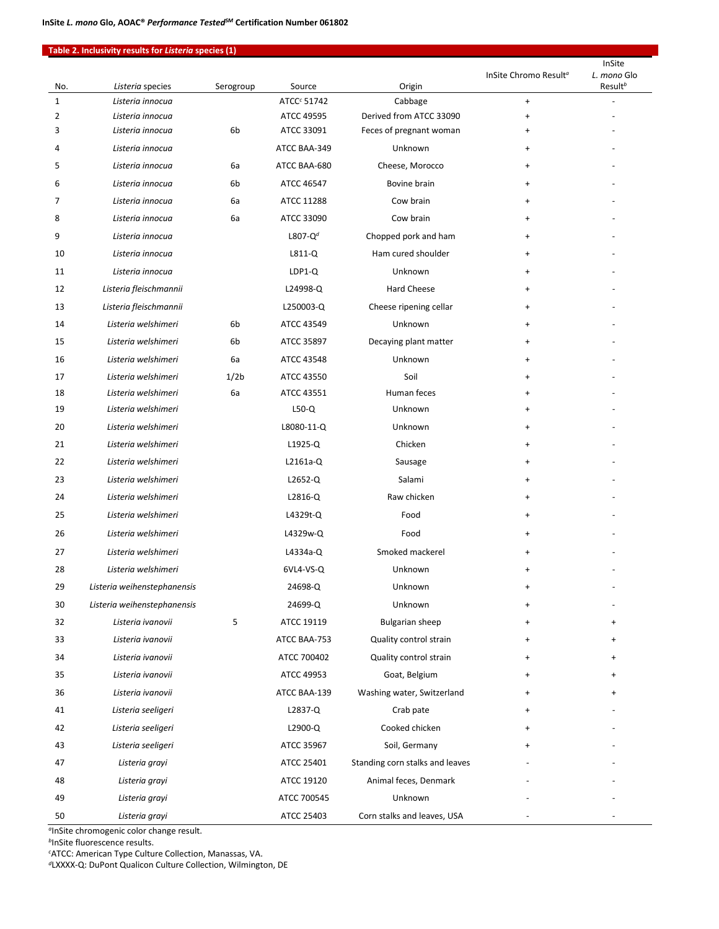## **Table 2. Inclusivity results for** *Listeria* **species (1)**

|              |                                      |                  |                          |                                                    | InSite Chromo Result <sup>a</sup>                                    | InSite<br>L. mono Glo |
|--------------|--------------------------------------|------------------|--------------------------|----------------------------------------------------|----------------------------------------------------------------------|-----------------------|
| No.          | Listeria species                     | Serogroup        | Source                   | Origin                                             |                                                                      | Result <sup>b</sup>   |
| $\mathbf{1}$ | Listeria innocua                     |                  | ATCC <sup>c</sup> 51742  | Cabbage                                            | $\ddot{}$                                                            |                       |
| 2<br>3       | Listeria innocua<br>Listeria innocua | 6b               | ATCC 49595<br>ATCC 33091 | Derived from ATCC 33090<br>Feces of pregnant woman | $\begin{array}{c} + \end{array}$<br>$\begin{array}{c} + \end{array}$ |                       |
| 4            | Listeria innocua                     |                  | ATCC BAA-349             | Unknown                                            | $\ddot{}$                                                            |                       |
| 5            | Listeria innocua                     | 6a               | ATCC BAA-680             | Cheese, Morocco                                    | $\ddot{}$                                                            |                       |
| 6            | Listeria innocua                     | 6b               | ATCC 46547               | Bovine brain                                       | $\ddot{}$                                                            |                       |
| 7            | Listeria innocua                     | 6a               | ATCC 11288               | Cow brain                                          | $\ddot{}$                                                            |                       |
| 8            | Listeria innocua                     | 6a               | ATCC 33090               | Cow brain                                          | $\ddot{}$                                                            |                       |
| 9            | Listeria innocua                     |                  | L807- $Q^d$              | Chopped pork and ham                               | $\ddot{}$                                                            |                       |
| 10           | Listeria innocua                     |                  | $L811-Q$                 | Ham cured shoulder                                 | $\ddot{}$                                                            |                       |
| 11           | Listeria innocua                     |                  | LDP1-Q                   | Unknown                                            | $\ddot{}$                                                            |                       |
| 12           | Listeria fleischmannii               |                  | L24998-Q                 | Hard Cheese                                        | $\ddot{}$                                                            |                       |
| 13           | Listeria fleischmannii               |                  | L250003-Q                | Cheese ripening cellar                             | $\ddot{}$                                                            |                       |
| 14           | Listeria welshimeri                  | 6b               | ATCC 43549               | Unknown                                            | $\ddot{}$                                                            |                       |
| 15           | Listeria welshimeri                  | 6b               | ATCC 35897               | Decaying plant matter                              | $\ddot{}$                                                            |                       |
| 16           | Listeria welshimeri                  | 6a               | ATCC 43548               | Unknown                                            | $\ddot{}$                                                            |                       |
| 17           | Listeria welshimeri                  | 1/2 <sub>b</sub> | ATCC 43550               | Soil                                               | $\ddot{}$                                                            |                       |
| 18           | Listeria welshimeri                  | 6a               | ATCC 43551               | Human feces                                        | $\ddot{}$                                                            |                       |
| 19           | Listeria welshimeri                  |                  | $L50-Q$                  | Unknown                                            | $\ddot{}$                                                            |                       |
| 20           | Listeria welshimeri                  |                  | L8080-11-Q               | Unknown                                            | $\ddot{}$                                                            |                       |
| 21           | Listeria welshimeri                  |                  | $L1925-Q$                | Chicken                                            | $\ddot{}$                                                            |                       |
| 22           | Listeria welshimeri                  |                  | L2161a-Q                 | Sausage                                            | $\ddot{}$                                                            |                       |
| 23           | Listeria welshimeri                  |                  | L2652-Q                  | Salami                                             | $\ddot{}$                                                            |                       |
| 24           | Listeria welshimeri                  |                  | L2816-Q                  | Raw chicken                                        | $\ddot{}$                                                            |                       |
| 25           | Listeria welshimeri                  |                  | L4329t-Q                 | Food                                               | $\ddot{}$                                                            |                       |
| 26           | Listeria welshimeri                  |                  | L4329w-Q                 | Food                                               | $\ddot{}$                                                            |                       |
| 27           | Listeria welshimeri                  |                  | L4334a-Q                 | Smoked mackerel                                    | $\ddot{}$                                                            |                       |
| 28           | Listeria welshimeri                  |                  | 6VL4-VS-Q                | Unknown                                            | $\ddot{}$                                                            |                       |
| 29           | Listeria weihenstephanensis          |                  | 24698-Q                  | Unknown                                            | +                                                                    |                       |
| 30           | Listeria weihenstephanensis          |                  | 24699-Q                  | Unknown                                            |                                                                      |                       |
| 32           | Listeria ivanovii                    | 5                | ATCC 19119               | <b>Bulgarian sheep</b>                             | +                                                                    | $\ddot{}$             |
| 33           | Listeria ivanovii                    |                  | ATCC BAA-753             | Quality control strain                             | +                                                                    | +                     |
| 34           | Listeria ivanovii                    |                  | ATCC 700402              | Quality control strain                             | $\ddot{}$                                                            | +                     |
| 35           | Listeria ivanovii                    |                  | ATCC 49953               | Goat, Belgium                                      | +                                                                    |                       |
| 36           | Listeria ivanovii                    |                  | ATCC BAA-139             | Washing water, Switzerland                         | $\ddot{}$                                                            |                       |
| 41           | Listeria seeligeri                   |                  | L2837-Q                  | Crab pate                                          |                                                                      |                       |
| 42           | Listeria seeligeri                   |                  | L2900-Q                  | Cooked chicken                                     | $\ddot{}$                                                            |                       |
| 43           | Listeria seeligeri                   |                  | ATCC 35967               | Soil, Germany                                      |                                                                      |                       |
| 47           | Listeria grayi                       |                  | ATCC 25401               | Standing corn stalks and leaves                    |                                                                      |                       |
| 48           | Listeria grayi                       |                  | ATCC 19120               | Animal feces, Denmark                              |                                                                      |                       |
| 49           | Listeria grayi                       |                  | ATCC 700545              | Unknown                                            |                                                                      |                       |
| 50           | Listeria grayi                       |                  | ATCC 25403               | Corn stalks and leaves, USA                        |                                                                      |                       |

*<sup>a</sup>*InSite chromogenic color change result.

*<sup>b</sup>*InSite fluorescence results.

*c* ATCC: American Type Culture Collection, Manassas, VA.

*d*LXXXX-Q: DuPont Qualicon Culture Collection, Wilmington, DE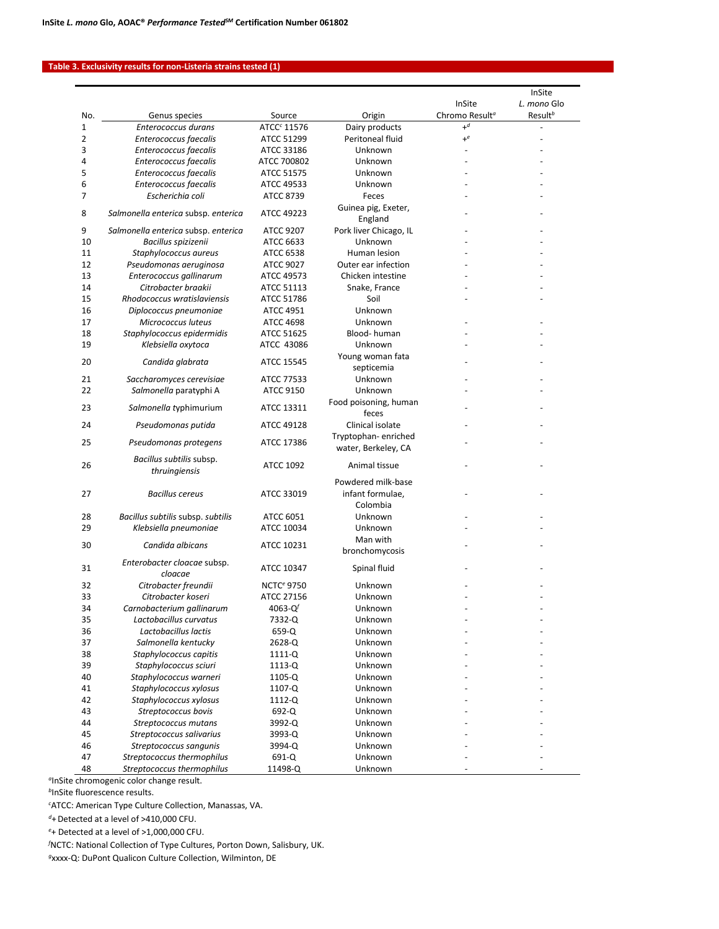### **Table 3. Exclusivity results for non-Listeria strains tested (1)**

|                     |                                           |                              |                                            |                                    | InSite              |
|---------------------|-------------------------------------------|------------------------------|--------------------------------------------|------------------------------------|---------------------|
|                     |                                           |                              |                                            | InSite                             | L. mono Glo         |
| No.                 | Genus species                             | Source                       | Origin                                     | Chromo Result <sup>a</sup><br>$+d$ | Result <sup>b</sup> |
| 1                   | Enterococcus durans                       | ATCC <sup>c</sup> 11576      | Dairy products                             | $+e$                               |                     |
| $\overline{2}$<br>3 | Enterococcus faecalis                     | ATCC 51299                   | Peritoneal fluid<br>Unknown                |                                    |                     |
| 4                   | Enterococcus faecalis                     | ATCC 33186                   |                                            |                                    |                     |
| 5                   | Enterococcus faecalis                     | ATCC 700802                  | Unknown                                    |                                    |                     |
|                     | Enterococcus faecalis                     | ATCC 51575                   | Unknown                                    |                                    |                     |
| 6<br>7              | Enterococcus faecalis<br>Escherichia coli | ATCC 49533<br>ATCC 8739      | Unknown<br>Feces                           |                                    |                     |
| 8                   | Salmonella enterica subsp. enterica       | ATCC 49223                   | Guinea pig, Exeter,<br>England             |                                    |                     |
| 9                   | Salmonella enterica subsp. enterica       | ATCC 9207                    | Pork liver Chicago, IL                     |                                    |                     |
| 10                  | Bacillus spizizenii                       | ATCC 6633                    | Unknown                                    |                                    |                     |
| 11                  | Staphylococcus aureus                     | ATCC 6538                    | Human lesion                               |                                    |                     |
| 12                  | Pseudomonas aeruginosa                    | <b>ATCC 9027</b>             | Outer ear infection                        |                                    |                     |
| 13                  | Enterococcus gallinarum                   | ATCC 49573                   | Chicken intestine                          |                                    |                     |
| 14                  | Citrobacter braakii                       | ATCC 51113                   | Snake, France                              |                                    |                     |
|                     |                                           |                              |                                            |                                    |                     |
| 15                  | Rhodococcus wratislaviensis               | ATCC 51786                   | Soil                                       |                                    |                     |
| 16                  | Diplococcus pneumoniae                    | <b>ATCC 4951</b>             | Unknown                                    |                                    |                     |
| 17                  | Micrococcus luteus                        | <b>ATCC 4698</b>             | Unknown                                    |                                    |                     |
| 18                  | Staphylococcus epidermidis                | ATCC 51625                   | Blood-human                                |                                    |                     |
| 19                  | Klebsiella oxytoca                        | ATCC 43086                   | Unknown                                    |                                    |                     |
| 20                  | Candida glabrata                          | ATCC 15545                   | Young woman fata                           |                                    |                     |
|                     |                                           |                              | septicemia                                 |                                    |                     |
| 21                  | Saccharomyces cerevisiae                  | ATCC 77533                   | Unknown                                    |                                    |                     |
| 22                  | Salmonella paratyphi A                    | ATCC 9150                    | Unknown                                    |                                    |                     |
| 23                  | Salmonella typhimurium                    | ATCC 13311                   | Food poisoning, human<br>feces             |                                    |                     |
| 24                  | Pseudomonas putida                        | ATCC 49128                   | Clinical isolate                           |                                    |                     |
| 25                  | Pseudomonas protegens                     | ATCC 17386                   | Tryptophan-enriched<br>water, Berkeley, CA |                                    |                     |
| 26                  | Bacillus subtilis subsp.<br>thruingiensis | <b>ATCC 1092</b>             | Animal tissue                              |                                    |                     |
|                     |                                           |                              | Powdered milk-base                         |                                    |                     |
| 27                  | <b>Bacillus cereus</b>                    | ATCC 33019                   | infant formulae,                           |                                    |                     |
|                     |                                           |                              | Colombia                                   |                                    |                     |
| 28                  | Bacillus subtilis subsp. subtilis         | ATCC 6051                    | Unknown                                    |                                    |                     |
| 29                  | Klebsiella pneumoniae                     | ATCC 10034                   | Unknown                                    |                                    |                     |
|                     |                                           |                              | Man with                                   |                                    |                     |
| 30                  | Candida albicans                          | ATCC 10231                   |                                            |                                    |                     |
|                     |                                           |                              | bronchomycosis                             |                                    |                     |
| 31                  | Enterobacter cloacae subsp.<br>cloacae    | ATCC 10347                   | Spinal fluid                               |                                    |                     |
| 32                  | Citrobacter freundii                      | <b>NCTC<sup>e</sup> 9750</b> | Unknown                                    |                                    |                     |
| 33                  | Citrobacter koseri                        | ATCC 27156                   | Unknown                                    |                                    |                     |
| 34                  | Carnobacterium gallinarum                 | 4063-Q $f$                   | Unknown                                    |                                    |                     |
| 35                  | Lactobacillus curvatus                    | 7332-Q                       | Unknown                                    |                                    |                     |
| 36                  | Lactobacillus lactis                      | 659-Q                        | Unknown                                    |                                    |                     |
| 37                  | Salmonella kentucky                       | 2628-Q                       | Unknown                                    |                                    |                     |
| 38                  | Staphylococcus capitis                    | 1111-Q                       | Unknown                                    |                                    |                     |
| 39                  | Staphylococcus sciuri                     | 1113-Q                       | Unknown                                    |                                    |                     |
| 40                  | Staphylococcus warneri                    | 1105-Q                       | Unknown                                    |                                    |                     |
| 41                  | Staphylococcus xylosus                    | 1107-Q                       | Unknown                                    |                                    |                     |
| 42                  | Staphylococcus xylosus                    | 1112-Q                       | Unknown                                    |                                    |                     |
| 43                  | Streptococcus bovis                       | 692-Q                        | Unknown                                    |                                    |                     |
| 44                  | Streptococcus mutans                      | 3992-Q                       | Unknown                                    |                                    |                     |
| 45                  | Streptococcus salivarius                  | 3993-Q                       | Unknown                                    |                                    |                     |
| 46                  | Streptococcus sangunis                    | 3994-Q                       | Unknown                                    |                                    |                     |
| 47                  | Streptococcus thermophilus                | 691-Q                        | Unknown                                    |                                    |                     |
| 48                  | Streptococcus thermophilus                | 11498-Q                      | Unknown                                    |                                    |                     |
|                     |                                           |                              |                                            |                                    |                     |

*<sup>a</sup>*InSite chromogenic color change result.

*<sup>b</sup>*InSite fluorescence results.

*c* ATCC: American Type Culture Collection, Manassas, VA.

*<sup>d</sup>*+Detected at a level of >410,000 CFU.

*e* + Detected at a level of >1,000,000 CFU.

*f* NCTC: National Collection of Type Cultures, Porton Down, Salisbury, UK.

*g*xxxx-Q: DuPont Qualicon Culture Collection, Wilminton, DE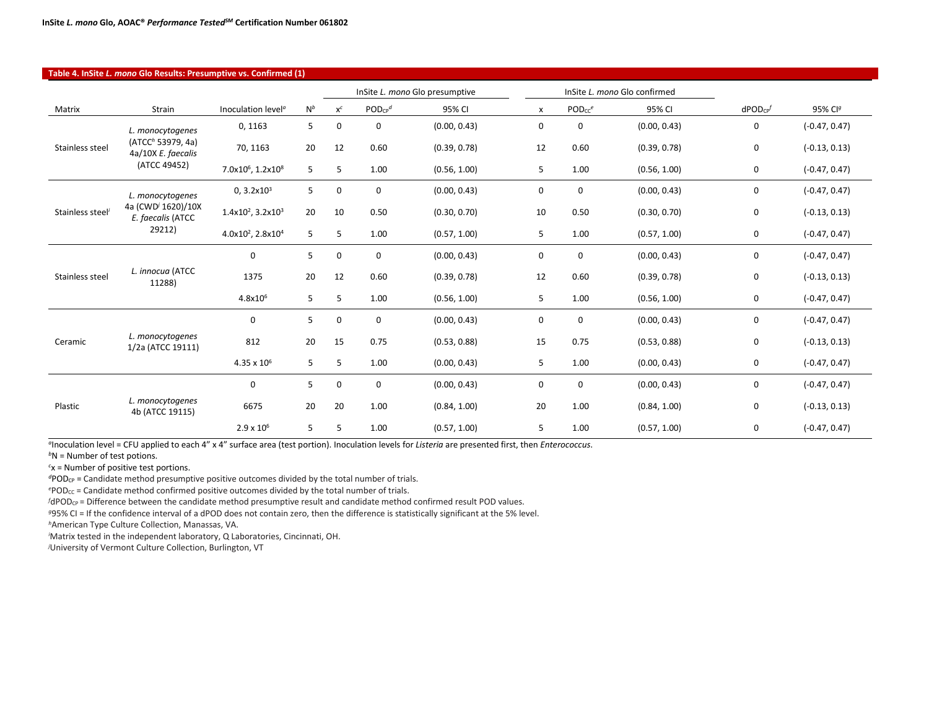| Table 4. InSite L. mono Glo Results: Presumptive vs. Confirmed (1) |                                                     |                                           |       |                                |                         |                              |             |                    |              |                    |                 |
|--------------------------------------------------------------------|-----------------------------------------------------|-------------------------------------------|-------|--------------------------------|-------------------------|------------------------------|-------------|--------------------|--------------|--------------------|-----------------|
|                                                                    |                                                     |                                           |       | InSite L. mono Glo presumptive |                         | InSite L. mono Glo confirmed |             |                    |              |                    |                 |
| Matrix                                                             | Strain                                              | Inoculation level <sup>®</sup>            | $N^b$ | $\mathsf{X}^{\mathsf{C}}$      | $POD_{CP}$ <sup>d</sup> | 95% CI                       | x           | PODcc <sup>e</sup> | 95% CI       | dPOD <sub>CP</sub> | 95% Clg         |
| Stainless steel                                                    | L. monocytogenes                                    | 0, 1163                                   | 5     | 0                              | 0                       | (0.00, 0.43)                 | 0           | 0                  | (0.00, 0.43) | 0                  | $(-0.47, 0.47)$ |
|                                                                    | (ATCC <sup>h</sup> 53979, 4a)<br>4a/10X E. faecalis | 70, 1163                                  | 20    | 12                             | 0.60                    | (0.39, 0.78)                 | 12          | 0.60               | (0.39, 0.78) | 0                  | $(-0.13, 0.13)$ |
|                                                                    | (ATCC 49452)                                        | 7.0x10 <sup>6</sup> , 1.2x10 <sup>8</sup> | 5     | 5                              | 1.00                    | (0.56, 1.00)                 | 5           | 1.00               | (0.56, 1.00) | 0                  | $(-0.47, 0.47)$ |
|                                                                    | L. monocytogenes                                    | 0, 3.2x10 <sup>3</sup>                    | 5     | 0                              | 0                       | (0.00, 0.43)                 | 0           | $\mathbf 0$        | (0.00, 0.43) | 0                  | $(-0.47, 0.47)$ |
| Stainless steel                                                    | 4a (CWD <sup>/</sup> 1620)/10X<br>E. faecalis (ATCC | $1.4x10^2$ , $3.2x10^3$                   | 20    | 10                             | 0.50                    | (0.30, 0.70)                 | 10          | 0.50               | (0.30, 0.70) | 0                  | $(-0.13, 0.13)$ |
|                                                                    | 29212)                                              | 4.0x10 <sup>2</sup> , 2.8x10 <sup>4</sup> | 5     | 5                              | 1.00                    | (0.57, 1.00)                 | 5           | 1.00               | (0.57, 1.00) | 0                  | $(-0.47, 0.47)$ |
|                                                                    | L. innocua (ATCC<br>11288)                          | 0                                         | 5     | $\mathbf 0$                    | $\mathbf 0$             | (0.00, 0.43)                 | 0           | $\mathbf 0$        | (0.00, 0.43) | 0                  | $(-0.47, 0.47)$ |
| Stainless steel                                                    |                                                     | 1375                                      | 20    | 12                             | 0.60                    | (0.39, 0.78)                 | 12          | 0.60               | (0.39, 0.78) | 0                  | $(-0.13, 0.13)$ |
|                                                                    |                                                     | $4.8x10^{6}$                              | 5     | 5                              | 1.00                    | (0.56, 1.00)                 | 5           | 1.00               | (0.56, 1.00) | 0                  | $(-0.47, 0.47)$ |
|                                                                    | L. monocytogenes<br>1/2a (ATCC 19111)               | 0                                         | 5     | 0                              | 0                       | (0.00, 0.43)                 | 0           | $\mathbf 0$        | (0.00, 0.43) | 0                  | $(-0.47, 0.47)$ |
| Ceramic                                                            |                                                     | 812                                       | 20    | 15                             | 0.75                    | (0.53, 0.88)                 | 15          | 0.75               | (0.53, 0.88) | 0                  | $(-0.13, 0.13)$ |
|                                                                    |                                                     | $4.35 \times 10^{6}$                      | 5     | 5                              | 1.00                    | (0.00, 0.43)                 | 5           | 1.00               | (0.00, 0.43) | 0                  | $(-0.47, 0.47)$ |
|                                                                    |                                                     | 0                                         | 5     | 0                              | $\mathbf 0$             | (0.00, 0.43)                 | $\mathbf 0$ | 0                  | (0.00, 0.43) | 0                  | $(-0.47, 0.47)$ |
| Plastic                                                            | L. monocytogenes<br>4b (ATCC 19115)                 | 6675                                      | 20    | 20                             | 1.00                    | (0.84, 1.00)                 | 20          | 1.00               | (0.84, 1.00) | 0                  | $(-0.13, 0.13)$ |
|                                                                    |                                                     | $2.9 \times 10^{6}$                       | 5     | 5                              | 1.00                    | (0.57, 1.00)                 | 5           | 1.00               | (0.57, 1.00) | 0                  | $(-0.47, 0.47)$ |

*<sup>a</sup>*Inoculation level = CFU applied to each 4" x 4" surface area (test portion). Inoculation levels for *Listeria* are presented first, then *Enterococcus*.

*b*N = Number of test potions.

*c* x = Number of positive test portions.

*<sup>d</sup>*PODCP = Candidate method presumptive positive outcomes divided by the total number of trials.

ePOD<sub>CC</sub> = Candidate method confirmed positive outcomes divided by the total number of trials.

*f* dPOD<sub>CP</sub> = Difference between the candidate method presumptive result and candidate method confirmed result POD values.

*<sup>g</sup>*95% CI = If the confidence interval of a dPOD does not contain zero, then the difference is statistically significant at the 5% level.

*<sup>h</sup>*American Type Culture Collection, Manassas, VA.

*i* Matrix tested in the independent laboratory, Q Laboratories, Cincinnati, OH.

*j* University of Vermont Culture Collection, Burlington, VT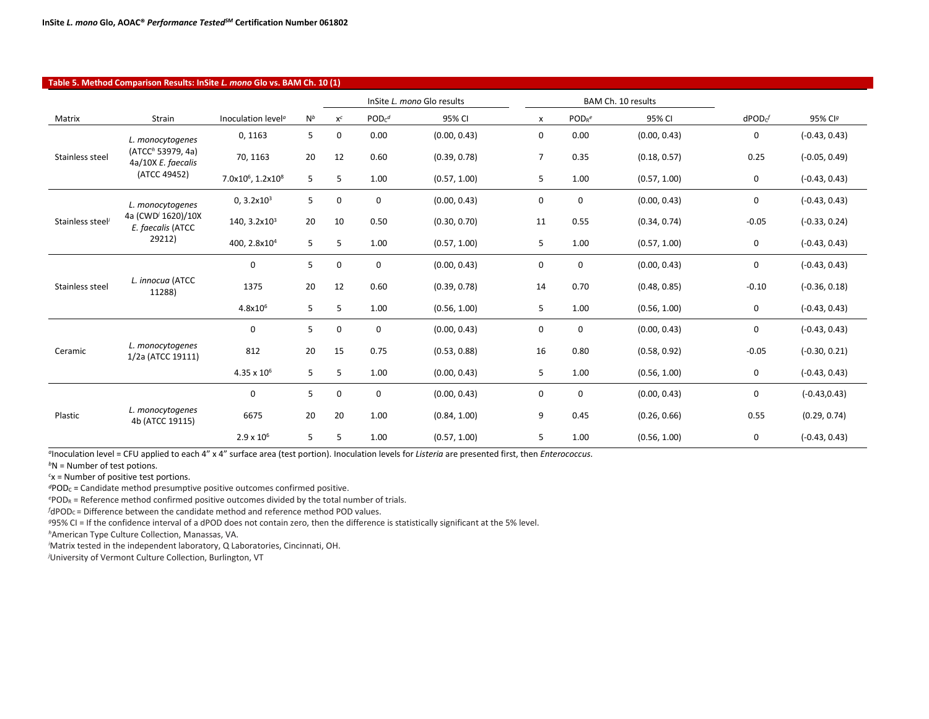| Table 5. Method Comparison Results: InSite L. mono Glo vs. BAM Ch. 10 (1) |                                                     |                                           |       |             |                            |              |                |                    |              |               |                 |
|---------------------------------------------------------------------------|-----------------------------------------------------|-------------------------------------------|-------|-------------|----------------------------|--------------|----------------|--------------------|--------------|---------------|-----------------|
|                                                                           |                                                     |                                           |       |             | InSite L. mono Glo results |              |                | BAM Ch. 10 results |              |               |                 |
| Matrix                                                                    | <b>Strain</b>                                       | Inoculation level <sup>a</sup>            | $N^b$ | $x^c$       | $PODc^d$                   | 95% CI       | x              | POD <sub>R</sub> e | 95% CI       | $d$ POD $c^f$ | 95% Clg         |
| Stainless steel                                                           | L. monocytogenes                                    | 0, 1163                                   | 5     | 0           | 0.00                       | (0.00, 0.43) | $\mathsf{O}$   | 0.00               | (0.00, 0.43) | 0             | $(-0.43, 0.43)$ |
|                                                                           | (ATCC <sup>h</sup> 53979, 4a)<br>4a/10X E. faecalis | 70, 1163                                  | 20    | 12          | 0.60                       | (0.39, 0.78) | $\overline{7}$ | 0.35               | (0.18, 0.57) | 0.25          | $(-0.05, 0.49)$ |
|                                                                           | (ATCC 49452)                                        | 7.0x10 <sup>6</sup> , 1.2x10 <sup>8</sup> | 5     | 5           | 1.00                       | (0.57, 1.00) | 5              | 1.00               | (0.57, 1.00) | 0             | $(-0.43, 0.43)$ |
|                                                                           | L. monocytogenes                                    | 0, 3.2x10 <sup>3</sup>                    | 5     | 0           | $\mathbf 0$                | (0.00, 0.43) | 0              | 0                  | (0.00, 0.43) | 0             | $(-0.43, 0.43)$ |
| Stainless steel <sup>i</sup>                                              | 4a (CWD <sup>j</sup> 1620)/10X<br>E. faecalis (ATCC | 140, 3.2x10 <sup>3</sup>                  | 20    | 10          | 0.50                       | (0.30, 0.70) | 11             | 0.55               | (0.34, 0.74) | $-0.05$       | $(-0.33, 0.24)$ |
|                                                                           | 29212)                                              | 400, 2.8x10 <sup>4</sup>                  | 5     | 5           | 1.00                       | (0.57, 1.00) | 5              | 1.00               | (0.57, 1.00) | 0             | $(-0.43, 0.43)$ |
| Stainless steel                                                           | L. innocua (ATCC<br>11288)                          | $\mathbf 0$                               | 5     | $\mathbf 0$ | $\mathbf 0$                | (0.00, 0.43) | $\mathbf 0$    | 0                  | (0.00, 0.43) | 0             | $(-0.43, 0.43)$ |
|                                                                           |                                                     | 1375                                      | 20    | 12          | 0.60                       | (0.39, 0.78) | 14             | 0.70               | (0.48, 0.85) | $-0.10$       | $(-0.36, 0.18)$ |
|                                                                           |                                                     | $4.8x10^{6}$                              | 5     | 5           | 1.00                       | (0.56, 1.00) | 5              | 1.00               | (0.56, 1.00) | 0             | $(-0.43, 0.43)$ |
|                                                                           | L. monocytogenes<br>1/2a (ATCC 19111)               | $\mathbf 0$                               | 5     | 0           | 0                          | (0.00, 0.43) | 0              | 0                  | (0.00, 0.43) | 0             | $(-0.43, 0.43)$ |
| Ceramic                                                                   |                                                     | 812                                       | 20    | 15          | 0.75                       | (0.53, 0.88) | 16             | 0.80               | (0.58, 0.92) | $-0.05$       | $(-0.30, 0.21)$ |
|                                                                           |                                                     | $4.35 \times 10^6$                        | 5     | 5           | 1.00                       | (0.00, 0.43) | 5              | 1.00               | (0.56, 1.00) | $\mathbf 0$   | $(-0.43, 0.43)$ |
|                                                                           |                                                     | $\mathbf 0$                               | 5     | $\mathbf 0$ | 0                          | (0.00, 0.43) | $\mathbf 0$    | $\mathbf 0$        | (0.00, 0.43) | 0             | $(-0.43, 0.43)$ |
| Plastic                                                                   | L. monocytogenes<br>4b (ATCC 19115)                 | 6675                                      | 20    | 20          | 1.00                       | (0.84, 1.00) | 9              | 0.45               | (0.26, 0.66) | 0.55          | (0.29, 0.74)    |
|                                                                           |                                                     | $2.9 \times 10^{6}$                       | 5     | 5           | 1.00                       | (0.57, 1.00) | 5              | 1.00               | (0.56, 1.00) | 0             | $(-0.43, 0.43)$ |

*<sup>a</sup>*Inoculation level = CFU applied to each 4" x 4" surface area (test portion). Inoculation levels for *Listeria* are presented first, then *Enterococcus*.

*b*N = Number of test potions.

 $\overline{\phantom{a}}$ 

*c* x = Number of positive test portions.

*d*POD<sub>C</sub> = Candidate method presumptive positive outcomes confirmed positive.

*e* PODR = Reference method confirmed positive outcomes divided by the total number of trials.

*f* dPOD<sub>C</sub> = Difference between the candidate method and reference method POD values.

*<sup>g</sup>*95% CI = If the confidence interval of a dPOD does not contain zero, then the difference is statistically significant at the 5% level.

*<sup>h</sup>*American Type Culture Collection, Manassas, VA.

*i* Matrix tested in the independent laboratory, Q Laboratories, Cincinnati, OH.

*j* University of Vermont Culture Collection, Burlington, VT